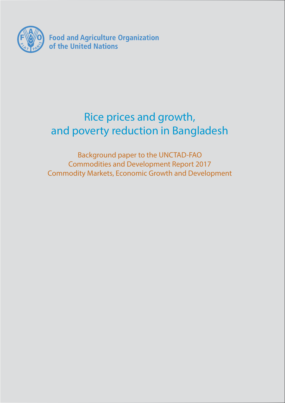

# Rice prices and growth, and poverty reduction in Bangladesh

Background paper to the UNCTAD-FAO Commodities and Development Report 2017 Commodity Markets, Economic Growth and Development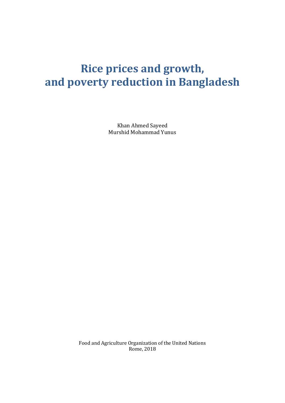# **Rice prices and growth, and poverty reduction in Bangladesh**

Khan Ahmed Sayeed Murshid Mohammad Yunus

Food and Agriculture Organization of the United Nations Rome, 2018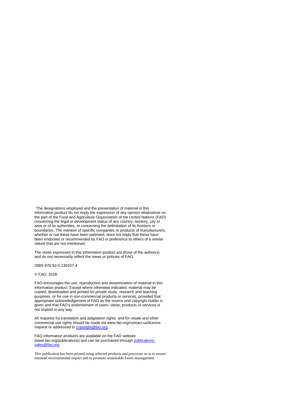The designations employed and the presentation of material in this information product do not imply the expression of any opinion whatsoever on the part of the Food and Agriculture Organization of the United Nations (FAO) concerning the legal or development status of any country, territory, city or area or of its authorities, or concerning the delimitation of its frontiers or boundaries. The mention of specific companies or products of manufacturers, whether or not these have been patented, does not imply that these have been endorsed or recommended by FAO in preference to others of a similar nature that are not mentioned.

The views expressed in this information product are those of the author(s) and do not necessarily reflect the views or policies of FAO.

ISBN 978-92-5-130107-4

#### © FAO, 2018

FAO encourages the use, reproduction and dissemination of material in this information product. Except where otherwise indicated, material may be copied, downloaded and printed for private study, research and teaching purposes, or for use in non-commercial products or services, provided that appropriate acknowledgement of FAO as the source and copyright holder is given and that FAO's endorsement of users' views, products or services is not implied in any way.

All requests for translation and adaptation rights, and for resale and other commercial use rights should be made via www.fao.org/contact-us/licencerequest or addressed t[o copyright@fao.org.](mailto:copyright@fao.org)

FAO information products are available on the FAO website (www.fao.org/publications) and can be purchased throug[h publications](mailto:publications-sales@fao.org)[sales@fao.org.](mailto:publications-sales@fao.org)

This publication has been printed using selected products and processes so as to ensure minimal environmental impact and to promote sustainable forest management.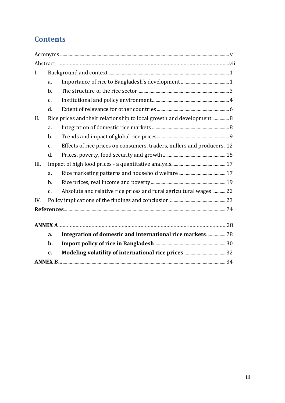# **Contents**

| L.   |                 |                                                                         |
|------|-----------------|-------------------------------------------------------------------------|
|      | a.              |                                                                         |
|      | $b$ .           |                                                                         |
|      | c.              |                                                                         |
|      | d.              |                                                                         |
| II.  |                 | Rice prices and their relationship to local growth and development 8    |
|      | a.              |                                                                         |
|      | b.              |                                                                         |
|      | c.              | Effects of rice prices on consumers, traders, millers and producers. 12 |
|      | d.              |                                                                         |
| III. |                 |                                                                         |
|      | a.              |                                                                         |
|      | b.              |                                                                         |
|      | $\mathcal{C}$ . | Absolute and relative rice prices and rural agricultural wages  22      |
| IV.  |                 |                                                                         |
|      |                 |                                                                         |
|      |                 |                                                                         |
|      |                 |                                                                         |
|      | a.              | Integration of domestic and international rice markets 28               |
|      | $b$ .           |                                                                         |
|      | c.              |                                                                         |
|      |                 |                                                                         |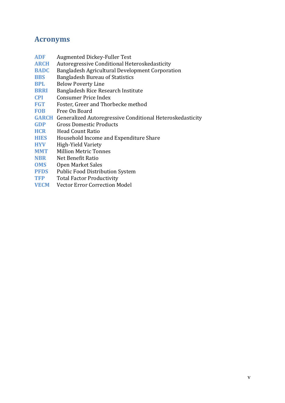# <span id="page-5-0"></span>**Acronyms**

- **ADF** Augmented Dickey-Fuller Test<br>**ARCH** Autoregressive Conditional Het
- **ARCH** Autoregressive Conditional Heteroskedasticity<br>**BADC** Bangladesh Agricultural Development Corporat
- **BADC** Bangladesh Agricultural Development Corporation<br>**BBS** Bangladesh Bureau of Statistics
- **BBS** Bangladesh Bureau of Statistics<br>**BPL** Below Poverty Line
- **BPL** Below Poverty Line<br>**BRRI** Bangladesh Rice Res
- **BRRI** Bangladesh Rice Research Institute<br> **CPI** Consumer Price Index
- **CPI** Consumer Price Index<br>**FGT** Foster, Greer and Thor
- **FGT** Foster, Greer and Thorbecke method<br>**FOB** Free On Board
- Free On Board
- **GARCH** Generalized Autoregressive Conditional Heteroskedasticity<br>**GDP** Gross Domestic Products
- **GDP** Gross Domestic Products<br>**HCR** Head Count Ratio
- **HCR** Head Count Ratio<br>**HIES** Household Income
- **HIES** Household Income and Expenditure Share<br> **HYV** High-Yield Variety
- **HYV** High-Yield Variety<br> **MMT** Million Metric Ton
- **MMT** Million Metric Tonnes<br> **NBR** Net Benefit Ratio
- **NBR** Net Benefit Ratio<br> **OMS** Open Market Sale
- **OMS** Open Market Sales<br>**PFDS** Public Food Distrib
- **PFDS** Public Food Distribution System<br> **TFP** Total Factor Productivity
- **TFP** Total Factor Productivity<br>**VECM** Vector Error Correction M
- **Vector Error Correction Model**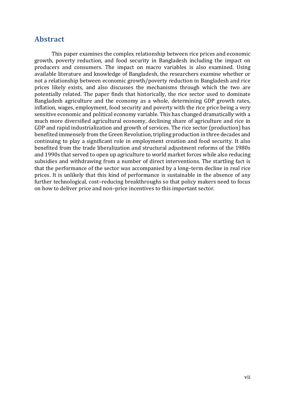### <span id="page-7-0"></span>**Abstract**

This paper examines the complex relationship between rice prices and economic growth, poverty reduction, and food security in Bangladesh including the impact on producers and consumers. The impact on macro variables is also examined. Using available literature and knowledge of Bangladesh, the researchers examine whether or not a relationship between economic growth/poverty reduction in Bangladesh and rice prices likely exists, and also discusses the mechanisms through which the two are potentially related. The paper finds that historically, the rice sector used to dominate Bangladesh agriculture and the economy as a whole, determining GDP growth rates, inflation, wages, employment, food security and poverty with the rice price being a very sensitive economic and political economy variable. This has changed dramatically with a much more diversified agricultural economy, declining share of agriculture and rice in GDP and rapid industrialization and growth of services. The rice sector (production) has benefited immensely from the Green Revolution, tripling production in three decades and continuing to play a significant role in employment creation and food security. It also benefited from the trade liberalization and structural adjustment reforms of the 1980s and 1990s that served to open up agriculture to world market forces while also reducing subsidies and withdrawing from a number of direct interventions. The startling fact is that the performance of the sector was accompanied by a long–term decline in real rice prices. It is unlikely that this kind of performance is sustainable in the absence of any further technological, cost–reducing breakthroughs so that policy makers need to focus on how to deliver price and non–price incentives to this important sector.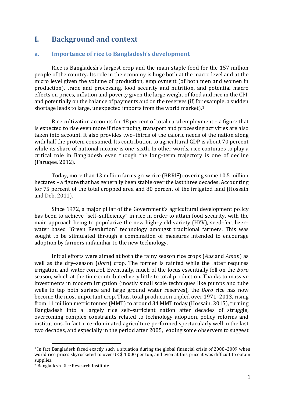## <span id="page-9-0"></span>**I. Background and context**

#### <span id="page-9-1"></span>**a. Importance of rice to Bangladesh's development**

Rice is Bangladesh's largest crop and the main staple food for the 157 million people of the country. Its role in the economy is huge both at the macro level and at the micro level given the volume of production, employment (of both men and women in production), trade and processing, food security and nutrition, and potential macro effects on prices, inflation and poverty given the large weight of food and rice in the CPI, and potentially on the balance of payments and on the reserves (if, for example, a sudden shortage leads to large, unexpected imports from the world market).[1](#page-9-2)

Rice cultivation accounts for 48 percent of total rural employment – a figure that is expected to rise even more if rice trading, transport and processing activities are also taken into account. It also provides two–thirds of the caloric needs of the nation along with half the protein consumed. Its contribution to agricultural GDP is about 70 percent while its share of national income is one–sixth. In other words, rice continues to play a critical role in Bangladesh even though the long–term trajectory is one of decline (Faruqee, 2012).

Today, more than 13 million farms grow rice (BRRI[2](#page-9-3)) covering some 10.5 million hectares – a figure that has generally been stable over the last three decades. Accounting for 75 percent of the total cropped area and 80 percent of the irrigated land (Hossain and Deb, 2011).

Since 1972, a major pillar of the Government's agricultural development policy has been to achieve "self–sufficiency" in rice in order to attain food security, with the main approach being to popularize the new high–yield variety (HYV), seed–fertilizer– water based "Green Revolution" technology amongst traditional farmers. This was sought to be stimulated through a combination of measures intended to encourage adoption by farmers unfamiliar to the new technology.

Initial efforts were aimed at both the rainy season rice crops (*Aus* and *Aman*) as well as the dry–season (*Boro*) crop. The former is rainfed while the latter requires irrigation and water control. Eventually, much of the focus essentially fell on the *Boro* season, which at the time contributed very little to total production. Thanks to massive investments in modern irrigation (mostly small scale techniques like pumps and tube wells to tap both surface and large ground water reserves), the *Boro* rice has now become the most important crop. Thus, total production tripled over 1971–2013, rising from 11 million metric tonnes (MMT) to around 34 MMT today (Hossain, 2015), turning Bangladesh into a largely rice self–sufficient nation after decades of struggle, overcoming complex constraints related to technology adoption, policy reforms and institutions. In fact, rice–dominated agriculture performed spectacularly well in the last two decades, and especially in the period after 2005, leading some observers to suggest

<span id="page-9-2"></span> <sup>1</sup> In fact Bangladesh faced exactly such a situation during the global financial crisis of 2008–2009 when world rice prices skyrocketed to over US \$ 1 000 per ton, and even at this price it was difficult to obtain supplies.

<span id="page-9-3"></span><sup>2</sup> Bangladesh Rice Research Institute.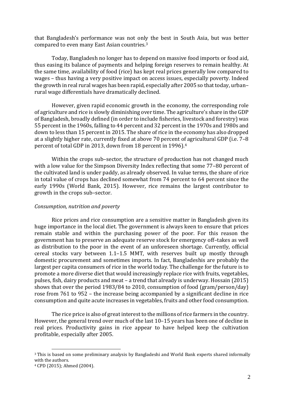that Bangladesh's performance was not onl[y](#page-10-0) the best in South Asia, but was better compared to even many East Asian countries. 3

Today, Bangladesh no longer has to depend on massive food imports or food aid, thus easing its balance of payments and helping foreign reserves to remain healthy. At the same time, availability of food (rice) has kept real prices generally low compared to wages – thus having a very positive impact on access issues, especially poverty. Indeed the growth in real rural wages has been rapid, especially after 2005 so that today, urban– rural wage differentials have dramatically declined.

However, given rapid economic growth in the economy, the corresponding role of agriculture and rice is slowly diminishing over time. The agriculture's share in the GDP of Bangladesh, broadly defined (in order to include fisheries, livestock and forestry) was 55 percent in the 1960s, falling to 44 percent and 32 percent in the 1970s and 1980s and down to less than 15 percent in 2015. The share of rice in the economy has also dropped at a slightly higher rate, currently fixed at above 70 percent of agricultural GDP (i.e. 7–8 percent of total GDP in 2013, down from 18 percent in 1996).[4](#page-10-1)

Within the crops sub–sector, the structure of production has not changed much with a low value for the Simpson Diversity Index reflecting that some 77–80 percent of the cultivated land is under paddy, as already observed. In value terms, the share of rice in total value of crops has declined somewhat from 74 percent to 64 percent since the early 1990s (World Bank, 2015). However, rice remains the largest contributor to growth in the crops sub–sector.

#### *Consumption, nutrition and poverty*

Rice prices and rice consumption are a sensitive matter in Bangladesh given its huge importance in the local diet. The government is always keen to ensure that prices remain stable and within the purchasing power of the poor. For this reason the government has to preserve an adequate reserve stock for emergency off–takes as well as distribution to the poor in the event of an unforeseen shortage. Currently, official cereal stocks vary between 1.1–1.5 MMT, with reserves built up mostly through domestic procurement and sometimes imports. In fact, Bangladeshis are probably the largest per capita consumers of rice in the world today. The challenge for the future is to promote a more diverse diet that would increasingly replace rice with fruits, vegetables, pulses, fish, dairy products and meat – a trend that already is underway. Hossain (2015) shows that over the period 1983/84 to 2010, consumption of food (gram/person/day) rose from 761 to 952 – the increase being accompanied by a significant decline in rice consumption and quite acute increases in vegetables, fruits and other food consumption.

The rice price is also of great interest to the millions of rice farmers in the country. However, the general trend over much of the last 10–15 years has been one of decline in real prices. Productivity gains in rice appear to have helped keep the cultivation profitable, especially after 2005.

<span id="page-10-0"></span> <sup>3</sup> This is based on some preliminary analysis by Bangladeshi and World Bank experts shared informally with the authors.

<span id="page-10-1"></span><sup>4</sup> CPD (2015); Ahmed (2004).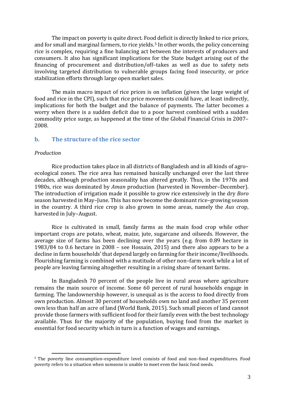The impact on poverty is quite direct. Food deficit is directly linked to rice prices, and for small and marginal farmers, to rice yields.<sup>[5](#page-11-1)</sup> In other words, the policy concerning rice is complex, requiring a fine balancing act between the interests of producers and consumers. It also has significant implications for the State budget arising out of the financing of procurement and distribution/off–takes as well as due to safety nets involving targeted distribution to vulnerable groups facing food insecurity, or price stabilization efforts through large open market sales.

The main macro impact of rice prices is on inflation (given the large weight of food and rice in the CPI), such that rice price movements could have, at least indirectly, implications for both the budget and the balance of payments. The latter becomes a worry when there is a sudden deficit due to a poor harvest combined with a sudden commodity price surge, as happened at the time of the Global Financial Crisis in 2007– 2008.

#### <span id="page-11-0"></span>**b. The structure of the rice sector**

#### *Production*

Rice production takes place in all districts of Bangladesh and in all kinds of agro– ecological zones. The rice area has remained basically unchanged over the last three decades, although production seasonality has altered greatly. Thus, in the 1970s and 1980s, rice was dominated by *Aman* production (harvested in November–December). The introduction of irrigation made it possible to grow rice extensively in the dry *Boro* season harvested in May–June. This has now become the dominant rice–growing season in the country. A third rice crop is also grown in some areas, namely the *Aus* crop, harvested in July–August.

Rice is cultivated in small, family farms as the main food crop while other important crops are potato, wheat, maize, jute, sugarcane and oilseeds. However, the average size of farms has been declining over the years (e.g. from 0.89 hectare in 1983/84 to 0.6 hectare in 2008 – see Hossain, 2015) and there also appears to be a decline in farm households' that depend largely on farming for their income/livelihoods. Flourishing farming is combined with a mutitude of other non–farm work while a lot of people are leaving farming altogether resulting in a rising share of tenant farms.

In Bangladesh 70 percent of the people live in rural areas where agriculture remains the main source of income. Some 60 percent of rural households engage in farming. The landownership however, is unequal as is the access to food directly from own production. Almost 30 percent of households own no land and another 35 percent own less than half an acre of land (World Bank, 2015). Such small pieces of land cannot provide those farmers with sufficient food for their family even with the best technology available. Thus for the majority of the population, buying food from the market is essential for food security which in turn is a function of wages and earnings.

<span id="page-11-1"></span> <sup>5</sup> The poverty line consumption–expenditure level consists of food and non–food expenditures. Food poverty refers to a situation when someone is unable to meet even the basic food needs.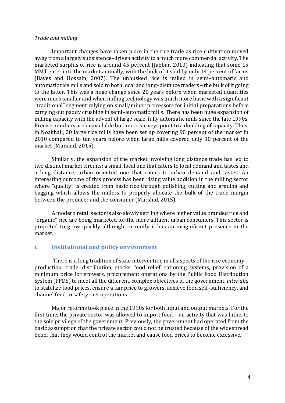#### *Trade and milling*

Important changes have taken place in the rice trade as rice cultivation moved away from a largely subsistence–driven activity to a much more commercial activity. The marketed surplus of rice is around 45 percent (Jabbar, 2010) indicating that some 15 MMT enter into the market annually, with the bulk of it sold by only 14 percent of farms (Bayes and Hossain, 2007). The unhusked rice is milled in semi–automatic and automatic rice mills and sold to both local and long–distance traders – the bulk of it going to the latter. This was a huge change since 20 years before when marketed quantities were much smaller and when milling technology was much more basic with a significant "traditional" segment relying on small/minor processors for initial preparations before carrying out paddy crushing in semi–automatic mills. There has been huge expansion of milling capacity with the advent of large scale, fully automatic mills since the late 1990s. Precise numbers are unavailable but micro surveys point to a doubling of capacity. Thus, in Noakhali, 20 large rice mills have been set up covering 90 percent of the market in 2010 compared to ten years before when large mills covered only 10 percent of the market (Murshid, 2015).

Similarly, the expansion of the market involving long distance trade has led to two distinct market circuits: a small, local one that caters to local demand and tastes and a long–distance, urban oriented one that caters to urban demand and tastes. An interesting outcome of this process has been rising value addition in the milling sector where "quality" is created from basic rice through polishing, cutting and grading and bagging which allows the millers to properly allocate the bulk of the trade margin between the producer and the consumer (Murshid, 2015).

A modern retail sector is also slowly settling where higher value branded rice and "organic" rice are being marketed for the more affluent urban consumers. This sector is projected to grow quickly although currently it has an insignificant presence in the market.

#### <span id="page-12-0"></span>**c. Institutional and policy environment**

There is a long tradition of state intervention in all aspects of the rice economy – production, trade, distribution, stocks, food relief, rationing systems, provision of a minimum price for growers, procurement operations by the Public Food Distribution System (PFDS) to meet all the different, complex objectives of the government, *inter alia* to stabilize food prices, ensure a fair price to growers, achieve food self–sufficiency, and channel food to safety–net operations.

Major reforms took place in the 1990s for both input and output markets. For the first time, the private sector was allowed to import food – an activity that was hitherto the sole privilege of the government. Previously, the government had operated from the basic assumption that the private sector could not be trusted because of the widespread belief that they would control the market and cause food prices to become excessive.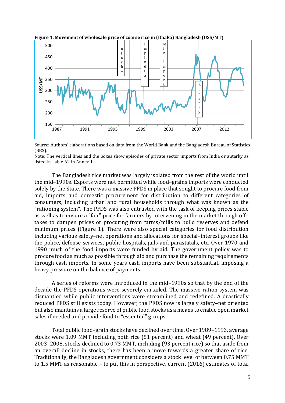

**Figure 1. Movement of wholesale price of coarse rice in (Dhaka) Bangladesh (US\$/MT)**

Source: Authors' elaborations based on data from the World Bank and the Bangladesh Bureau of Statistics (BBS).

Note: The vertical lines and the boxes show episodes of private sector imports from India or autarky as listed in Table A2 in Annex 1.

The Bangladesh rice market was largely isolated from the rest of the world until the mid–1990s. Exports were not permitted while food–grains imports were conducted solely by the State. There was a massive PFDS in place that sought to procure food from aid, imports and domestic procurement for distribution to different categories of consumers, including urban and rural households through what was known as the "rationing system". The PFDS was also entrusted with the task of keeping prices stable as well as to ensure a "fair" price for farmers by intervening in the market through off– takes to dampen prices or procuring from farms/mills to build reserves and defend minimum prices (Figure 1). There were also special categories for food distribution including various safety–net operations and allocations for special–interest groups like the police, defense services, public hospitals, jails and parastatals, etc. Over 1970 and 1990 much of the food imports were funded by aid. The government policy was to procure food as much as possible through aid and purchase the remaining requirements through cash imports. In some years cash imports have been substantial, imposing a heavy pressure on the balance of payments.

A series of reforms were introduced in the mid–1990s so that by the end of the decade the PFDS operations were severely curtailed. The massive ration system was dismantled while public interventions were streamlined and redefined. A drastically reduced PFDS still exists today. However, the PFDS now is largely safety–net oriented but also maintains a large reserve of public food stocks as a means to enable open market sales if needed and provide food to "essential" groups.

Total public food–grain stocks have declined over time. Over 1989–1993, average stocks were 1.09 MMT including both rice (51 percent) and wheat (49 percent). Over 2003–2008, stocks declined to 0.73 MMT, including (93 percent rice) so that aside from an overall decline in stocks, there has been a move towards a greater share of rice. Traditionally, the Bangladesh government considers a stock level of between 0.75 MMT to 1.5 MMT as reasonable – to put this in perspective, current (2016) estimates of total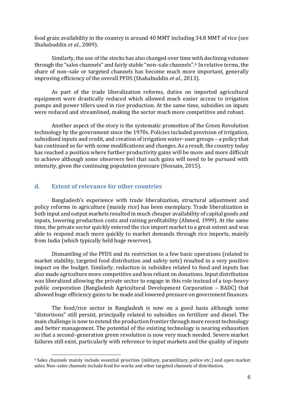food grain availability in the country is around 40 MMT including 34.8 MMT of rice (see Shahabuddin *et al.*, 2009).

Similarly, the use of the stocks has also changed over time [wi](#page-14-1)th declining volumes through the "sales channels" and fairly stable "non–sale channels". <sup>6</sup> In relative terms, the share of non–sale or targeted channels has become much more important, generally improving efficiency of the overall PFDS (Shahabuddin *et al.*, 2013).

As part of the trade liberalization reforms, duties on imported agricultural equipment were drastically reduced which allowed much easier access to irrigation pumps and power tillers used in rice production. At the same time, subsidies on inputs were reduced and streamlined, making the sector much more competitive and robust.

Another aspect of the story is the systematic promotion of the Green Revolution technology by the government since the 1970s. Policies included provision of irrigation, subsidized inputs and credit, and creation of irrigation water–user groups – a policy that has continued so far with some modifications and changes. As a result, the country today has reached a position where further productivity gains will be more and more difficult to achieve although some observers feel that such gains will need to be pursued with intensity, given the continuing population pressure (Hossain, 2015).

#### <span id="page-14-0"></span>**d. Extent of relevance for other countries**

Bangladesh's experience with trade liberalization, structural adjustment and policy reforms in agriculture (mainly rice) has been exemplary. Trade liberalization in both input and output markets resulted in much cheaper availability of capital goods and inputs, lowering production costs and raising profitability (Ahmed, 1999). At the same time, the private sector quickly entered the rice import market to a great extent and was able to respond much more quickly to market demands through rice imports, mainly from India (which typically held huge reserves).

Dismantling of the PFDS and its restriction to a few basic operations (related to market stability, targeted food distribution and safety nets) resulted in a very positive impact on the budget. Similarly, reduction in subsidies related to food and inputs has also made agriculture more competitive and less reliant on donations. Input distribution was liberalized allowing the private sector to engage in this role instead of a top–heavy public corporation (Bangladesh Agricultural Development Corporation – BADC) that allowed huge efficiency gains to be made and lowered pressure on government finances.

The food/rice sector in Bangladesh is now on a good basis although some "distortions" still persist, principally related to subsidies on fertilizer and diesel. The main challenge is now to extend the production frontier through more recent technology and better management. The potential of the existing technology is nearing exhaustion so that a second–generation green revolution is now very much needed. Severe market failures still exist, particularly with reference to input markets and the quality of inputs

<span id="page-14-1"></span> <sup>6</sup> Sales channels mainly include essential priorities (military, paramilitary, police etc.) and open market sales. Non–sales channels include food for works and other targeted channels of distribution.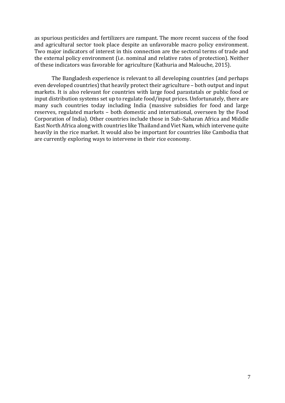as spurious pesticides and fertilizers are rampant. The more recent success of the food and agricultural sector took place despite an unfavorable macro policy environment. Two major indicators of interest in this connection are the sectoral terms of trade and the external policy environment (i.e. nominal and relative rates of protection). Neither of these indicators was favorable for agriculture (Kathuria and Malouche, 2015).

The Bangladesh experience is relevant to all developing countries (and perhaps even developed countries) that heavily protect their agriculture – both output and input markets. It is also relevant for countries with large food parastatals or public food or input distribution systems set up to regulate food/input prices. Unfortunately, there are many such countries today including India (massive subsidies for food and large reserves, regulated markets – both domestic and international, overseen by the Food Corporation of India). Other countries include those in Sub–Saharan Africa and Middle East North Africa along with countries like Thailand and Viet Nam, which intervene quite heavily in the rice market. It would also be important for countries like Cambodia that are currently exploring ways to intervene in their rice economy.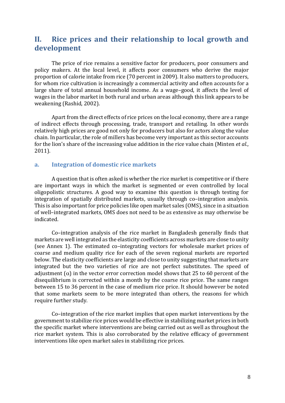# <span id="page-16-0"></span>**II. Rice prices and their relationship to local growth and development**

The price of rice remains a sensitive factor for producers, poor consumers and policy makers. At the local level, it affects poor consumers who derive the major proportion of calorie intake from rice (70 percent in 2009). It also matters to producers, for whom rice cultivation is increasingly a commercial activity and often accounts for a large share of total annual household income. As a wage–good, it affects the level of wages in the labor market in both rural and urban areas although this link appears to be weakening (Rashid, 2002).

Apart from the direct effects of rice prices on the local economy, there are a range of indirect effects through processing, trade, transport and retailing. In other words relatively high prices are good not only for producers but also for actors along the value chain. In particular, the role of millers has become very important as this sector accounts for the lion's share of the increasing value addition in the rice value chain (Minten *et al.*, 2011).

#### <span id="page-16-1"></span>**a. Integration of domestic rice markets**

A question that is often asked is whether the rice market is competitive or if there are important ways in which the market is segmented or even controlled by local oligopolistic structures. A good way to examine this question is through testing for integration of spatially distributed markets, usually through co–integration analysis. This is also important for price policies like open market sales (OMS), since in a situation of well–integrated markets, OMS does not need to be as extensive as may otherwise be indicated.

Co–integration analysis of the rice market in Bangladesh generally finds that markets are well integrated as the elasticity coefficients across markets are close to unity (see Annex 1). The estimated co–integrating vectors for wholesale market prices of coarse and medium quality rice for each of the seven regional markets are reported below. The elasticity coefficients are large and close to unity suggesting that markets are integrated but the two varieties of rice are not perfect substitutes. The speed of adjustment ( $\alpha$ ) in the vector error correction model shows that 25 to 60 percent of the disequilibrium is corrected within a month by the coarse rice price. The same ranges between 15 to 36 percent in the case of medium rice price. It should however be noted that some markets seem to be more integrated than others, the reasons for which require further study.

Co–integration of the rice market implies that open market interventions by the government to stabilize rice prices would be effective in stabilizing market prices in both the specific market where interventions are being carried out as well as throughout the rice market system. This is also corroborated by the relative efficacy of government interventions like open market sales in stabilizing rice prices.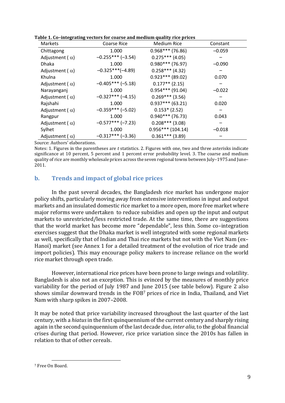| <b>Markets</b>          | <b>Coarse Rice</b>  | Medium Rice         | Constant |
|-------------------------|---------------------|---------------------|----------|
| Chittagong              | 1.000               | $0.968***$ (76.86)  | $-0.059$ |
| Adjustment ( $\alpha$ ) | $-0.255***(-3.54)$  | $0.275***$ (4.05)   |          |
| <b>Dhaka</b>            | 1.000               | $0.980***$ (76.97)  | $-0.090$ |
| Adjustment ( $\alpha$ ) | $-0.325***(-4.89)$  | $0.258***$ (4.32)   |          |
| Khulna                  | 1.000               | $0.923***$ (89.02)  | 0.070    |
| Adjustment ( $\alpha$ ) | $-0.405***(-5.18)$  | $0.177**$ (2.15)    |          |
| Narayanganj             | 1.000               | $0.954***$ (91.04)  | $-0.022$ |
| Adjustment ( $\alpha$ ) | $-0.327***(-4.15)$  | $0.269***$ (3.56)   |          |
| Rajshahi                | 1.000               | $0.937***$ (63.21)  | 0.020    |
| Adjustment ( $\alpha$ ) | $-0.359***(-5.02)$  | $0.153*(2.52)$      |          |
| Rangpur                 | 1.000               | $0.940***$ (76.73)  | 0.043    |
| Adjustment ( $\alpha$ ) | $-0.577***(-7.23)$  | $0.208***$ (3.08)   |          |
| Sylhet                  | 1.000               | $0.956***$ (104.14) | $-0.018$ |
| Adjustment ( $\alpha$ ) | $-0.317***$ (-3.36) | $0.361***$ (3.89)   |          |

Source: Authors' elaborations.

Notes: 1. Figures in the parentheses are *t* statistics. 2. Figures with one, two and three asterisks indicate significance at 10 percent, 5 percent and 1 percent error probability level. 3. The coarse and medium quality of rice are monthly wholesale prices across the seven regional towns between July–1975 and June– 2011.

### <span id="page-17-0"></span>**b. Trends and impact of global rice prices**

In the past several decades, the Bangladesh rice market has undergone major policy shifts, particularly moving away from extensive interventions in input and output markets and an insulated domestic rice market to a more open, more free market where major reforms were undertaken to reduce subsidies and open up the input and output markets to unrestricted/less restricted trade. At the same time, there are suggestions that the world market has become more "dependable", less thin. Some co–integration exercises suggest that the Dhaka market is well integrated with some regional markets as well, specifically that of Indian and Thai rice markets but not with the Viet Nam (ex– Hanoi) market (see Annex 1 for a detailed treatment of the evolution of rice trade and import policies). This may encourage policy makers to increase reliance on the world rice market through open trade.

However, international rice prices have been prone to large swings and volatility. Bangladesh is also not an exception. This is evinced by the measures of monthly price variability for the period of July 1987 and June 2015 (see table below). Figure 2 also shows similar downward trends in the FOB[7](#page-17-1) prices of rice in India, Thailand, and Viet Nam with sharp spikes in 2007–2008.

It may be noted that price variability increased throughout the last quarter of the last century, with a *hiatus*in the first quinquennium of the current century and sharply rising again in the second quinquennium of the last decade due, *inter alia*, to the global financial crises during that period. However, rice price variation since the 2010s has fallen in relation to that of other cereals.

<span id="page-17-1"></span> <sup>7</sup> Free On Board.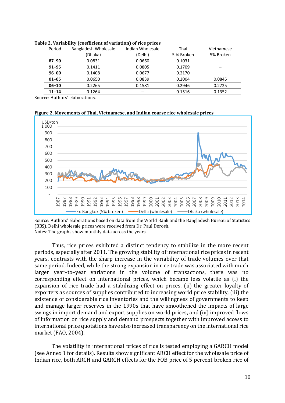|           | . .                  |                  |            |            |
|-----------|----------------------|------------------|------------|------------|
| Period    | Bangladesh Wholesale | Indian Wholesale | Thai       | Vietnamese |
|           | (Dhaka)              | (Delhi)          | 5 % Broken | 5% Broken  |
| $87 - 90$ | 0.0831               | 0.0660           | 0.1031     |            |
| $91 - 95$ | 0.1411               | 0.0805           | 0.1709     |            |
| $96 - 00$ | 0.1408               | 0.0677           | 0.2170     |            |
| $01 - 05$ | 0.0650               | 0.0839           | 0.2004     | 0.0845     |
| $06 - 10$ | 0.2265               | 0.1581           | 0.2946     | 0.2725     |
| $11 - 14$ | 0.1264               |                  | 0.1516     | 0.1352     |

|  | Table 2. Variability (coefficient of variation) of rice prices |  |
|--|----------------------------------------------------------------|--|
|--|----------------------------------------------------------------|--|

Source: Authors' elaborations.





Source: Authors' elaborations based on data from the World Bank and the Bangladesh Bureau of Statistics (BBS). Delhi wholesale prices were received from Dr. Paul Dorosh. Notes: The graphs show monthly data across the years.

Thus, rice prices exhibited a distinct tendency to stabilize in the more recent periods, especially after 2011. The growing stability of international rice prices in recent years, contrasts with the sharp increase in the variability of trade volumes over that same period. Indeed, while the strong expansion in rice trade was associated with much larger year–to–year variations in the volume of transactions, there was no corresponding effect on international prices, which became less volatile as (i) the expansion of rice trade had a stabilizing effect on prices, (ii) the greater loyalty of exporters as sources of supplies contributed to increasing world price stability, (iii) the existence of considerable rice inventories and the willingness of governments to keep and manage larger reserves in the 1990s that have smoothened the impacts of large swings in import demand and export supplies on world prices, and (iv) improved flows of information on rice supply and demand prospects together with improved access to international price quotations have also increased transparency on the international rice market (FAO, 2004).

The volatility in international prices of rice is tested employing a GARCH model (see Annex 1 for details). Results show significant ARCH effect for the wholesale price of Indian rice, both ARCH and GARCH effects for the FOB price of 5 percent broken rice of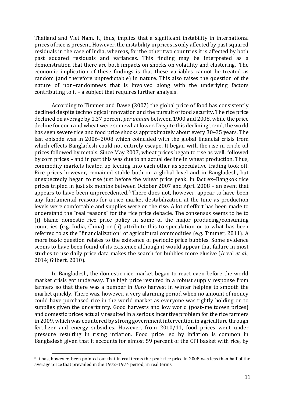Thailand and Viet Nam. It, thus, implies that a significant instability in international prices of rice is present. However, the instability in prices is only affected by past squared residuals in the case of India, whereas, for the other two countries it is affected by both past squared residuals and variances. This finding may be interpreted as a demonstration that there are both impacts on shocks on volatility and clustering. The economic implication of these findings is that these variables cannot be treated as random (and therefore unpredictable) in nature. This also raises the question of the nature of non–randomness that is involved along with the underlying factors contributing to it – a subject that requires further analysis.

According to Timmer and Dawe (2007) the global price of food has consistently declined despite technological innovation and the pursuit of food security. The rice price declined on average by 1.37 percent *per annum* between 1900 and 2008, while the price decline for corn and wheat were somewhat lower. Despite this declining trend, the world has seen severe rice and food price shocks approximately about every 30–35 years. The last episode was in 2006–2008 which coincided with the global financial crisis from which effects Bangladesh could not entirely escape. It began with the rise in crude oil prices followed by metals. Since May 2007, wheat prices began to rise as well, followed by corn prices – and in part this was due to an actual decline in wheat production. Thus, commodity markets heated up feeding into each other as speculative trading took off. Rice prices however, remained stable both on a global level and in Bangladesh, but unexpectedly began to rise just before the wheat price peak. In fact ex–Bangkok rice prices tripled in just six months between October 2007 and April 2008 – an event that appears to have been unprecedented.[8](#page-19-0) There does not, however, appear to have been any fundamental reasons for a rice market destabilization at the time as production levels were comfortable and supplies were on the rise. A lot of effort has been made to understand the "real reasons" for the rice price debacle. The consensus seems to be to (i) blame domestic rice price policy in some of the major producing/consuming countries (e.g. India, China) or (ii) attribute this to speculation or to what has been referred to as the "financialization" of agricultural commodities (e.g. Timmer, 2011). A more basic question relates to the existence of periodic price bubbles. Some evidence seems to have been found of its existence although it would appear that failure in most studies to use daily price data makes the search for bubbles more elusive (Areal *et al.*, 2014; Gilbert, 2010).

In Bangladesh, the domestic rice market began to react even before the world market crisis got underway. The high price resulted in a robust supply response from farmers so that there was a bumper in *Boro* harvest in winter helping to smooth the market quickly. There was, however, a very alarming period when no amount of money could have purchased rice in the world market as everyone was tightly holding on to supplies given the uncertainty. Good harvests and low world (post–meltdown prices) and domestic prices actually resulted in a serious incentive problem for the rice farmers in 2009, which was countered by strong government intervention in agriculture through fertilizer and energy subsidies. However, from 2010/11, food prices went under pressure resulting in rising inflation. Food price led by inflation is common in Bangladesh given that it accounts for almost 59 percent of the CPI basket with rice, by

<span id="page-19-0"></span><sup>&</sup>lt;sup>8</sup> It has, however, been pointed out that in real terms the peak rice price in 2008 was less than half of the average price that prevailed in the 1972–1974 period, in real terms.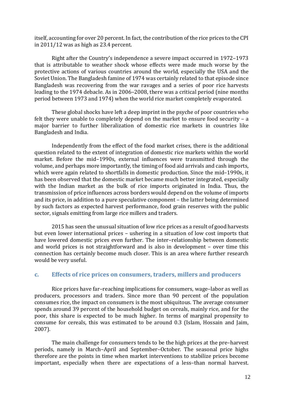itself, accounting for over 20 percent. In fact, the contribution of the rice prices to the CPI in 2011/12 was as high as 23.4 percent.

Right after the Country's independence a severe impact occurred in 1972–1973 that is attributable to weather shock whose effects were made much worse by the protective actions of various countries around the world, especially the USA and the Soviet Union. The Bangladesh famine of 1974 was certainly related to that episode since Bangladesh was recovering from the war ravages and a series of poor rice harvests leading to the 1974 debacle. As in 2006–2008, there was a critical period (nine months period between 1973 and 1974) when the world rice market completely evaporated.

These global shocks have left a deep imprint in the psyche of poor countries who felt they were unable to completely depend on the market to ensure food security – a major barrier to further liberalization of domestic rice markets in countries like Bangladesh and India.

Independently from the effect of the food market crises, there is the additional question related to the extent of integration of domestic rice markets within the world market. Before the mid–1990s, external influences were transmitted through the volume, and perhaps more importantly, the timing of food aid arrivals and cash imports, which were again related to shortfalls in domestic production. Since the mid–1990s, it has been observed that the domestic market became much better integrated, especially with the Indian market as the bulk of rice imports originated in India. Thus, the transmission of price influences across borders would depend on the volume of imports and its price, in addition to a pure speculative component – the latter being determined by such factors as expected harvest performance, food grain reserves with the public sector, signals emitting from large rice millers and traders.

2015 has seen the unusual situation of low rice prices as a result of good harvests but even lower international prices – ushering in a situation of low cost imports that have lowered domestic prices even further. The inter–relationship between domestic and world prices is not straightforward and is also in development – over time this connection has certainly become much closer. This is an area where further research would be very useful.

#### <span id="page-20-0"></span>**c. Effects of rice prices on consumers, traders, millers and producers**

Rice prices have far–reaching implications for consumers, wage–labor as well as producers, processors and traders. Since more than 90 percent of the population consumes rice, the impact on consumers is the most ubiquitous. The average consumer spends around 39 percent of the household budget on cereals, mainly rice, and for the poor, this share is expected to be much higher. In terms of marginal propensity to consume for cereals, this was estimated to be around 0.3 (Islam, Hossain and Jaim, 2007).

The main challenge for consumers tends to be the high prices at the pre–harvest periods, namely in March–April and September–October. The seasonal price highs therefore are the points in time when market interventions to stabilize prices become important, especially when there are expectations of a less–than normal harvest.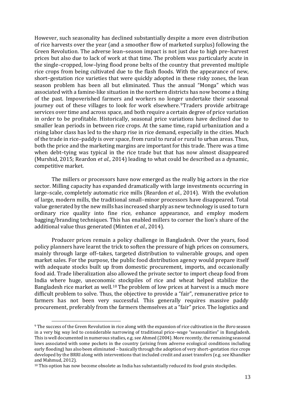However, such seasonality has declined substantially despite a more even distribution of rice harvests over the year (and a smoother flow of marketed surplus) following the Green Revolution. The adverse lean–season impact is not just due to high pre–harvest prices but also due to lack of work at that time. The problem was particularly acute in the single–cropped, low–lying flood prone belts of the country that prevented multiple rice crops from being cultivated due to the flash floods. With the appearance of new, short–gestation rice varieties that were quickly adopted in these risky zones, the lean season problem has been all but eliminated. Thus the annual "Monga" which was associated with a famine-like situation in the northern districts has now become a thing of the past. Impoverished farmers and workers no longer undertake their seasonal journey out of these villages to look for work elsewhere. [9](#page-21-0)Traders provide arbitrage services over time and across space, and both require a certain degree of price variation in order to be profitable. Historically, seasonal price variations have declined due to smaller lean periods in between rice crops. At the same time, rapid urbanization and a rising labor class has led to the sharp rise in rice demand, especially in the cities. Much of the trade in rice–paddy is over space, from rural to rural or rural to urban areas. Thus, both the price and the marketing margins are important for this trade. There was a time when debt–tying was typical in the rice trade but that has now almost disappeared (Murshid, 2015; Reardon *et al.*, 2014) leading to what could be described as a dynamic, competitive market.

The millers or processors have now emerged as the really big actors in the rice sector. Milling capacity has expanded dramatically with large investments occurring in large–scale, completely automatic rice mills (Reardon *et al.*, 2014). With the evolution of large, modern mills, the traditional small–minor processors have disappeared. Total value generated by the new mills has increased sharply as new technology is used to turn ordinary rice quality into fine rice, enhance appearance, and employ modern bagging/branding techniques. This has enabled millers to corner the lion's share of the additional value thus generated (Minten *et al.*, 2014).

Producer prices remain a policy challenge in Bangladesh. Over the years, food policy planners have learnt the trick to soften the pressure of high prices on consumers, mainly through large off–takes, targeted distribution to vulnerable groups, and open market sales. For the purpose, the public food distribution agency would prepare itself with adequate stocks built up from domestic procurement, imports, and occasionally food aid. Trade liberalization also allowed the private sector to import cheap food from India where huge, uneconomic stockpiles of rice and wheat helped stabilize the Bangladesh rice market as well.[10](#page-21-1) The problem of low prices at harvest is a much more difficult problem to solve. Thus, the objective to provide a "fair", remunerative price to farmers has not been very successful. This generally requires massive paddy procurement, preferably from the farmers themselves at a "fair" price. The logistics and

<span id="page-21-0"></span> <sup>9</sup> The success of the Green Revolution in rice along with the expansion of rice cultivation in the *Boro* season in a very big way led to considerable narrowing of traditional price–wage "seasonalities" in Bangladesh. This is well documented in numerous studies, e.g. see Ahmed (2004). More recently, the remaining seasonal lows associated with some pockets in the country (arising from adverse ecological conditions including early flooding) has also been eliminated – basically through the adoption of very short–gestation rice crops developed by the BRRI along with interventions that included credit and asset transfers (e.g. see Khandker and Mahmud, 2012).

<span id="page-21-1"></span> $10$  This option has now become obsolete as India has substantially reduced its food grain stockpiles.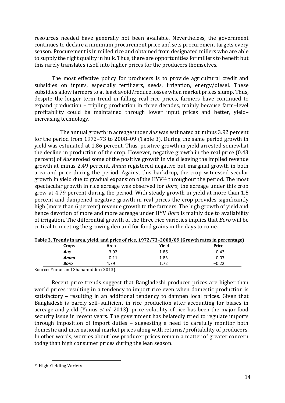resources needed have generally not been available. Nevertheless, the government continues to declare a minimum procurement price and sets procurement targets every season. Procurement is in milled rice and obtained from designated millers who are able to supply the right quality in bulk. Thus, there are opportunities for millers to benefit but this rarely translates itself into higher prices for the producers themselves.

The most effective policy for producers is to provide agricultural credit and subsidies on inputs, especially fertilizers, seeds, irrigation, energy/diesel. These subsidies allow farmers to at least avoid/reduce losses when market prices slump. Thus, despite the longer term trend in falling real rice prices, farmers have continued to expand production – tripling production in three decades, mainly because farm–level profitability could be maintained through lower input prices and better, yield– increasing technology.

The annual growth in acreage under *Aus* was estimated at minus 3.92 percent for the period from 1972–73 to 2008–09 [\(Table 3\)](#page-22-0). During the same period growth in yield was estimated at 1.86 percent. Thus, positive growth in yield arrested somewhat the decline in production of the crop. However, negative growth in the real price (0.43 percent) of *Aus* eroded some of the positive growth in yield leaving the implied revenue growth at minus 2.49 percent. *Aman* registered negative but marginal growth in both area and price during the period. Against this backdrop, the crop witnessed secular growth in yield due to gradual expansion of the HYV<sup>[11](#page-22-1)</sup> throughout the period. The most spectacular growth in rice acreage was observed for *Boro*; the acreage under this crop grew at 4.79 percent during the period. With steady growth in yield at more than 1.5 percent and dampened negative growth in real prices the crop provides significantly high (more than 6 percent) revenue growth to the farmers. The high growth of yield and hence devotion of more and more acreage under HYV *Boro* is mainly due to availability of irrigation. The differential growth of the three rice varieties implies that *Boro* will be critical to meeting the growing demand for food grains in the days to come.

|                           |       | .       |       | - - - -<br>$\cdot$ o- |
|---------------------------|-------|---------|-------|-----------------------|
|                           | Crops | Area    | Yield | <b>Price</b>          |
|                           | Aus   | $-3.92$ | 1.86  | $-0.43$               |
|                           | Aman  | $-0.11$ | 1.83  | –0.07                 |
|                           | Boro  | 4.79    | ⊥.,   | $-0.22$               |
| and the state of the con- |       |         |       |                       |

<span id="page-22-0"></span>**Table 3. Trends in area, yield, and price of rice, 1972/73–2008/09 (Growth rates in percentage)**

Source: Yunus and Shahabuddin (2013).

Recent price trends suggest that Bangladeshi producer prices are higher than world prices resulting in a tendency to import rice even when domestic production is satisfactory – resulting in an additional tendency to dampen local prices. Given that Bangladesh is barely self–sufficient in rice production after accounting for biases in acreage and yield (Yunus *et al.* 2013); price volatility of rice has been the major food security issue in recent years. The government has belatedly tried to regulate imports through imposition of import duties – suggesting a need to carefully monitor both domestic and international market prices along with returns/profitability of producers. In other words, worries about low producer prices remain a matter of greater concern today than high consumer prices during the lean season.

<span id="page-22-1"></span> <sup>11</sup> High Yielding Variety.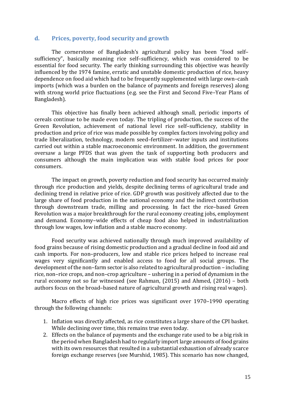#### <span id="page-23-0"></span>**d. Prices, poverty, food security and growth**

The cornerstone of Bangladesh's agricultural policy has been "food self– sufficiency", basically meaning rice self–sufficiency, which was considered to be essential for food security. The early thinking surrounding this objective was heavily influenced by the 1974 famine, erratic and unstable domestic production of rice, heavy dependence on food aid which had to be frequently supplemented with large own–cash imports (which was a burden on the balance of payments and foreign reserves) along with strong world price fluctuations (e.g. see the First and Second Five–Year Plans of Bangladesh).

This objective has finally been achieved although small, periodic imports of cereals continue to be made even today. The tripling of production, the success of the Green Revolution, achievement of national level rice self–sufficiency, stability in production and price of rice was made possible by complex factors involving policy and trade liberalization, technology, modern seed–fertilizer–water inputs and institutions carried out within a stable macroeconomic environment. In addition, the government oversaw a large PFDS that was given the task of supporting both producers and consumers although the main implication was with stable food prices for poor consumers.

The impact on growth, poverty reduction and food security has occurred mainly through rice production and yields, despite declining terms of agricultural trade and declining trend in relative price of rice. GDP growth was positively affected due to the large share of food production in the national economy and the indirect contribution through downstream trade, milling and processing. In fact the rice–based Green Revolution was a major breakthrough for the rural economy creating jobs, employment and demand. Economy–wide effects of cheap food also helped in industrialization through low wages, low inflation and a stable macro economy.

Food security was achieved nationally through much improved availability of food grains because of rising domestic production and a gradual decline in food aid and cash imports. For non–producers, low and stable rice prices helped to increase real wages very significantly and enabled access to food for all social groups. The development of the non–farm sector is also related to agricultural production – including rice, non–rice crops, and non–crop agriculture – ushering in a period of dynamism in the rural economy not so far witnessed (see Rahman, (2015) and Ahmed, (2016) – both authors focus on the broad–based nature of agricultural growth and rising real wages).

Macro effects of high rice prices was significant over 1970–1990 operating through the following channels:

- 1. Inflation was directly affected, as rice constitutes a large share of the CPI basket. While declining over time, this remains true even today.
- 2. Effects on the balance of payments and the exchange rate used to be a big risk in the period when Bangladesh had to regularly import large amounts of food grains with its own resources that resulted in a substantial exhaustion of already scarce foreign exchange reserves (see Murshid, 1985). This scenario has now changed,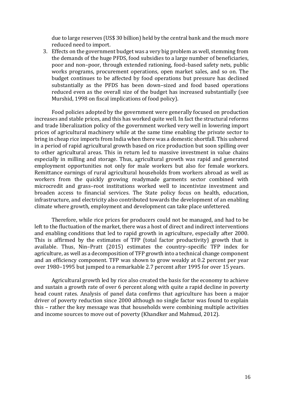due to large reserves (US\$ 30 billion) held by the central bank and the much more reduced need to import.

3. Effects on the government budget was a very big problem as well, stemming from the demands of the huge PFDS, food subsidies to a large number of beneficiaries, poor and non–poor, through extended rationing, food–based safety nets, public works programs, procurement operations, open market sales, and so on. The budget continues to be affected by food operations but pressure has declined substantially as the PFDS has been down–sized and food based operations reduced even as the overall size of the budget has increased substantially (see Murshid, 1998 on fiscal implications of food policy).

Food policies adopted by the government were generally focused on production increases and stable prices, and this has worked quite well. In fact the structural reforms and trade liberalization policy of the government worked very well in lowering import prices of agricultural machinery while at the same time enabling the private sector to bring in cheap rice imports from India when there was a domestic shortfall. This ushered in a period of rapid agricultural growth based on rice production but soon spilling over to other agricultural areas. This in return led to massive investment in value chains especially in milling and storage. Thus, agricultural growth was rapid and generated employment opportunities not only for male workers but also for female workers. Remittance earnings of rural agricultural households from workers abroad as well as workers from the quickly growing readymade garments sector combined with microcredit and grass–root institutions worked well to incentivize investment and broaden access to financial services. The State policy focus on health, education, infrastructure, and electricity also contributed towards the development of an enabling climate where growth, employment and development can take place unfettered.

Therefore, while rice prices for producers could not be managed, and had to be left to the fluctuation of the market, there was a host of direct and indirect interventions and enabling conditions that led to rapid growth in agriculture, especially after 2000. This is affirmed by the estimates of TFP (total factor productivity) growth that is available. Thus, Nin–Pratt (2015) estimates the country–specific TFP index for agriculture, as well as a decomposition of TFP growth into a technical change component and an efficiency component. TFP was shown to grow weakly at 0.2 percent per year over 1980–1995 but jumped to a remarkable 2.7 percent after 1995 for over 15 years.

Agricultural growth led by rice also created the basis for the economy to achieve and sustain a growth rate of over 6 percent along with quite a rapid decline in poverty head count rates. Analysis of panel data confirms that agriculture has been a major driver of poverty reduction since 2000 although no single factor was found to explain this – rather the key message was that households were combining multiple activities and income sources to move out of poverty (Khandker and Mahmud, 2012).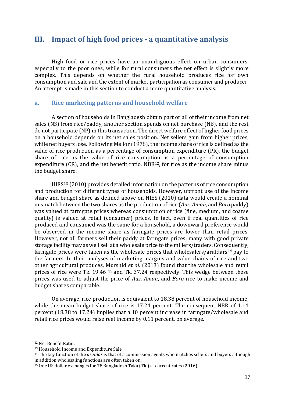## <span id="page-25-0"></span>**III. Impact of high food prices - a quantitative analysis**

High food or rice prices have an unambiguous effect on urban consumers, especially to the poor ones, while for rural consumers the net effect is slightly more complex. This depends on whether the rural household produces rice for own consumption and sale and the extent of market participation as consumer and producer. An attempt is made in this section to conduct a more quantitative analysis.

#### <span id="page-25-1"></span>**a. Rice marketing patterns and household welfare**

A section of households in Bangladesh obtain part or all of their income from net sales (NS) from rice/paddy, another section spends on net purchase (NB), and the rest do not participate (NP) in this transaction. The direct welfare effect of higher food prices on a household depends on its net sales position. Net sellers gain from higher prices, while net buyers lose. Following Mellor (1978), the income share of rice is defined as the value of rice production as a percentage of consumption expenditure (PR), the budget share of rice as the value of rice consumption as a percentage of consumption expenditure (CR), and the net benefit ratio, NBR<sup>[12](#page-25-2)</sup>, for rice as the income share minus the budget share.

HIE[S13](#page-25-3) (2010) provides detailed information on the patterns of rice consumption and production for different types of households. However, upfront use of the income share and budget share as defined above on HIES (2010) data would create a nominal mismatch between the two shares as the production of rice (*Aus*, *Aman*, and *Boro* paddy) was valued at farmgate prices whereas consumption of rice (fine, medium, and coarse quality) is valued at retail (consumer) prices. In fact, even if real quantities of rice produced and consumed was the same for a household, a downward preference would be observed in the income share as farmgate prices are lower than retail prices. However, not all farmers sell their paddy at farmgate prices, many with good private storage facility may as well sell at a wholesale price to the millers/traders. Consequently, farmgate prices were taken as the wholesale prices that wholesalers/aratdars<sup>[14](#page-25-4)</sup> pay to the farmers. In their analyses of marketing margins and value chains of rice and two other agricultural produces, [Mu](#page-25-5)rshid *et al.* (2013) found that the wholesale and retail prices of rice were Tk. 19.46 <sup>15</sup> and Tk. 37.24 respectively. This wedge between these prices was used to adjust the price of *Aus*, *Aman*, and *Boro* rice to make income and budget shares comparable.

On average, rice production is equivalent to 18.38 percent of household income, while the mean budget share of rice is 17.24 percent. The consequent NBR of 1.14 percent (18.38 to 17.24) implies that a 10 percent increase in farmgate/wholesale and retail rice prices would raise real income by 0.11 percent, on average.

<span id="page-25-2"></span> <sup>12</sup> Net Benefit Ratio.

<span id="page-25-3"></span><sup>13</sup> Household Income and Expenditure Sale.

<span id="page-25-4"></span><sup>14</sup> The key function of the *aratdar* is that of a commission agents who matches sellers and buyers although in addition wholesaling functions are often taken on.

<span id="page-25-5"></span><sup>15</sup> One US dollar exchanges for 78 Bangladesh Taka (Tk.) at current rates (2016).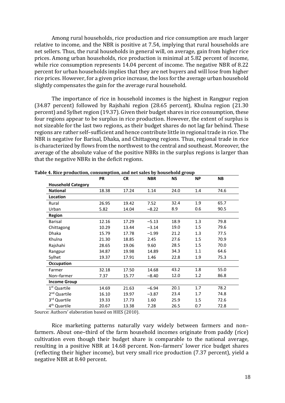Among rural households, rice production and rice consumption are much larger relative to income, and the NBR is positive at 7.54, implying that rural households are net sellers. Thus, the rural households in general will, on average, gain from higher rice prices. Among urban households, rice production is minimal at 5.82 percent of income, while rice consumption represents 14.04 percent of income. The negative NBR of 8.22 percent for urban households implies that they are net buyers and will lose from higher rice prices. However, for a given price increase, the loss for the average urban household slightly compensates the gain for the average rural household.

The importance of rice in household incomes is the highest in Rangpur region (34.87 percent) followed by Rajshahi region (28.65 percent), Khulna region (21.30 percent) and Sylhet region (19.37). Given their budget shares in rice consumption, these four regions appear to be surplus in rice production. However, the extent of surplus is not sizeable for the last two regions, as their budget shares do not lag far behind. These regions are rather self–sufficient and hence contribute little in regional trade in rice. The NBR is negative for Barisal, Dhaka, and Chittagong regions. Thus, regional trade in rice is characterized by flows from the northwest to the central and southeast. Moreover, the average of the absolute value of the positive NBRs in the surplus regions is larger than that the negative NBRs in the deficit regions.

|                           | <b>PR</b> | <b>CR</b> | <b>NBR</b> | <b>NS</b> | <b>NP</b> | <b>NB</b> |
|---------------------------|-----------|-----------|------------|-----------|-----------|-----------|
| <b>Household Category</b> |           |           |            |           |           |           |
| <b>National</b>           | 18.38     | 17.24     | 1.14       | 24.0      | 1.4       | 74.6      |
| Location                  |           |           |            |           |           |           |
| Rural                     | 26.95     | 19.42     | 7.52       | 32.4      | 1.9       | 65.7      |
| Urban                     | 5.82      | 14.04     | $-8.22$    | 8.9       | 0.6       | 90.5      |
| <b>Region</b>             |           |           |            |           |           |           |
| Barisal                   | 12.16     | 17.29     | $-5.13$    | 18.9      | 1.3       | 79.8      |
| Chittagong                | 10.29     | 13.44     | $-3.14$    | 19.0      | 1.5       | 79.6      |
| Dhaka                     | 15.79     | 17.78     | $-1.99$    | 21.2      | 1.3       | 77.5      |
| Khulna                    | 21.30     | 18.85     | 2.45       | 27.6      | 1.5       | 70.9      |
| Rajshahi                  | 28.65     | 19.06     | 9.60       | 28.5      | 1.5       | 70.0      |
| Rangpur                   | 34.87     | 19.98     | 14.89      | 34.3      | 1.1       | 64.6      |
| Sylhet                    | 19.37     | 17.91     | 1.46       | 22.8      | 1.9       | 75.3      |
| Occupation                |           |           |            |           |           |           |
| Farmer                    | 32.18     | 17.50     | 14.68      | 43.2      | 1.8       | 55.0      |
| Non-farmer                | 7.37      | 15.77     | $-8.40$    | 12.0      | 1.2       | 86.8      |
| <b>Income Group</b>       |           |           |            |           |           |           |
| 1 <sup>st</sup> Quartile  | 14.69     | 21.63     | $-6.94$    | 20.1      | 1.7       | 78.2      |
| 2 <sup>nd</sup> Quartile  | 16.10     | 19.97     | $-3.87$    | 23.4      | 1.7       | 74.8      |
| 3rd Quartile              | 19.33     | 17.73     | 1.60       | 25.9      | 1.5       | 72.6      |
| 4 <sup>th</sup> Quartile  | 20.67     | 13.38     | 7.28       | 26.5      | 0.7       | 72.8      |

<span id="page-26-0"></span>**Table 4. Rice production, consumption, and net sales by household group**

Source: Authors' elaboration based on HIES (2010).

Rice marketing patterns naturally vary widely between farmers and non– farmers. About one–third of the farm household incomes originate from paddy (rice) cultivation even though their budget share is comparable to the national average, resulting in a positive NBR at 14.68 percent. Non–farmers' lower rice budget shares (reflecting their higher income), but very small rice production (7.37 percent), yield a negative NBR at 8.40 percent.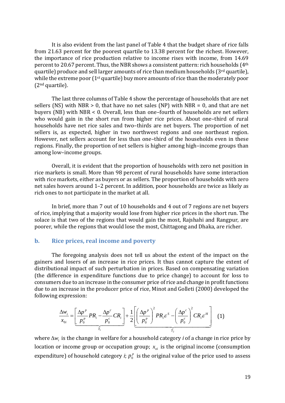It is also evident from the last panel of [Table 4](#page-26-0) that the budget share of rice falls from 21.63 percent for the poorest quartile to 13.38 percent for the richest. However, the importance of rice production relative to income rises with income, from 14.69 percent to 20.67 percent. Thus, the NBR shows a consistent pattern: rich households (4th quartile) produce and sell larger amounts of rice than medium households (3rd quartile), while the extreme poor (1<sup>st</sup> quartile) buy more amounts of rice than the moderately poor (2nd quartile).

The last three columns o[f Table 4](#page-26-0) show the percentage of households that are net sellers (NS) with NBR  $> 0$ , that have no net sales (NP) with NBR = 0, and that are net buyers (NB) with NBR < 0. Overall, less than one–fourth of households are net sellers who would gain in the short run from higher rice prices. About one–third of rural households have net rice sales and two–thirds are net buyers. The proportion of net sellers is, as expected, higher in two northwest regions and one northeast region. However, net sellers account for less than one–third of the households even in these regions. Finally, the proportion of net sellers is higher among high–income groups than among low–income groups.

Overall, it is evident that the proportion of households with zero net position in rice markets is small. More than 98 percent of rural households have some interaction with rice markets, either as buyers or as sellers. The proportion of households with zero net sales hovers around 1–2 percent. In addition, poor households are twice as likely as rich ones to not participate in the market at all.

In brief, more than 7 out of 10 households and 4 out of 7 regions are net buyers of rice, implying that a majority would lose from higher rice prices in the short run. The solace is that two of the regions that would gain the most, Rajshahi and Rangpur, are poorer, while the regions that would lose the most, Chittagong and Dhaka, are richer.

#### <span id="page-27-0"></span>**b. Rice prices, real income and poverty**

The foregoing analysis does not tell us about the extent of the impact on the gainers and losers of an increase in rice prices. It thus cannot capture the extent of distributional impact of such perturbation in prices. Based on compensating variation (the difference in expenditure functions due to price change) to account for loss to consumers due to an increase in the consumer price of rice and change in profit functions due to an increase in the producer price of rice, Minot and Golleti (2000) developed the following expression:

$$
\frac{\Delta w_i}{x_{0i}} = \left[\frac{\Delta p^p}{p_0^p}PR_i - \frac{\Delta p^c}{p_0^c}CR_i\right] + \frac{1}{2}\left[\left(\frac{\Delta p^p}{p_0^p}\right)^2 PR_i\varepsilon^S - \left(\frac{\Delta p^c}{p_0^c}\right)^2 CR_i\varepsilon^H\right] \quad (1)
$$

where  $\Delta w_i$  is the change in welfare for a household category *i* of a change in rice price by location or income group or occupation group;  $x_{oi}$  is the original income (consumption expenditure) of household category *i*;  $p_0^p$  is the original value of the price used to assess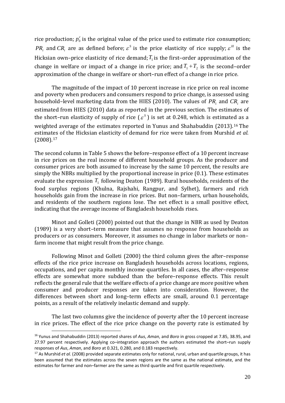rice production;  $p_0^c$  is the original value of the price used to estimate rice consumption; *PR<sub>i</sub>* and  $CR_i$  are as defined before;  $\varepsilon^S$  is the price elasticity of rice supply;  $\varepsilon^H$  is the Hicksian own–price elasticity of rice demand;  $T_{\rm l}$  is the first–order approximation of the change in welfare or impact of a change in rice price; and  $T_1 + T_2$  is the second–order approximation of the change in welfare or short–run effect of a change in rice price.

The magnitude of the impact of 10 percent increase in rice price on real income and poverty when producers and consumers respond to price change, is assessed using household–level marketing data from the HIES (2010). The values of  $\mathit{PR}_{i}$  and  $\mathit{CR}_{i}$  are estimated from HIES (2010) data as reported in the previous section. The estimates of the short–run elasticity of supply of rice  $(\varepsilon^s)$  is set at 0.248, which is estimated as a weighted average of the estimates reported in Yunus and Shahabuddin (2013).[16](#page-28-0) The estimates of the Hicksian elasticity of demand for rice were taken from Murshid *et al.* (2008).[17](#page-28-1)

The second column in Table 5 shows the before–response effect of a 10 percent increase in rice prices on the real income of different household groups. As the producer and consumer prices are both assumed to increase by the same 10 percent, the results are simply the NBRs multiplied by the proportional increase in price (0.1). These estimates evaluate the expression  $T_{\rm l}$  following Deaton (1989). Rural households, residents of the food surplus regions (Khulna, Rajshahi, Rangpur, and Sylhet), farmers and rich households gain from the increase in rice prices. But non–farmers, urban households, and residents of the southern regions lose. The net effect is a small positive effect, indicating that the average income of Bangladesh households rises.

Minot and Golleti (2000) pointed out that the change in NBR as used by Deaton (1989) is a very short–term measure that assumes no response from households as producers or as consumers. Moreover, it assumes no change in labor markets or non– farm income that might result from the price change.

Following Minot and Golleti (2000) the third column gives the after–response effects of the rice price increase on Bangladesh households across locations, regions, occupations, and per capita monthly income quartiles. In all cases, the after–response effects are somewhat more subdued than the before–response effects. This result reflects the general rule that the welfare effects of a price change are more positive when consumer and producer responses are taken into consideration. However, the differences between short and long–term effects are small, around 0.1 percentage points, as a result of the relatively inelastic demand and supply.

The last two columns give the incidence of poverty after the 10 percent increase in rice prices. The effect of the rice price change on the poverty rate is estimated by

<span id="page-28-0"></span><sup>16</sup> Yunus and Shahabuddin (2013) reported shares of *Aus*, *Aman*, and *Boro* in gross cropped at 7.85, 38.95, and 27.97 percent respectively. Applying co–integration approach the authors estimated the short–run supply responses of *Aus*, *Aman*, and *Boro* at 0.321, 0.280, and 0.183 respectively.

<span id="page-28-1"></span><sup>&</sup>lt;sup>17</sup> As Murshid *et al.* (2008) provided separate estimates only for national, rural, urban and quartile groups, it has been assumed that the estimates across the seven regions are the same as the national estimate, and the estimates for farmer and non–farmer are the same as third quartile and first quartile respectively.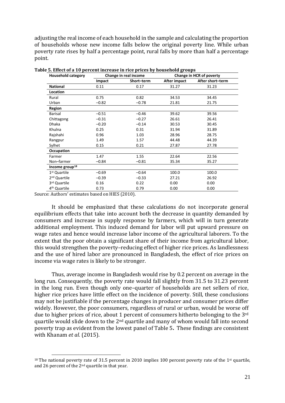adjusting the real income of each household in the sample and calculating the proportion of households whose new income falls below the original poverty line. While urban poverty rate rises by half a percentage point, rural falls by more than half a percentage point.

| <b>Household category</b>  |         | Change in real income |              | Change in HCR of poverty |
|----------------------------|---------|-----------------------|--------------|--------------------------|
|                            | Impact  | Short-term            | After impact | After short-term         |
| <b>National</b>            | 0.11    | 0.17                  | 31.27        | 31.23                    |
| <b>Location</b>            |         |                       |              |                          |
| Rural                      | 0.75    | 0.82                  | 34.53        | 34.45                    |
| Urban                      | $-0.82$ | $-0.78$               | 21.81        | 21.75                    |
| Region                     |         |                       |              |                          |
| <b>Barisal</b>             | $-0.51$ | $-0.46$               | 39.62        | 39.56                    |
| Chittagong                 | $-0.31$ | $-0.27$               | 26.61        | 26.41                    |
| <b>Dhaka</b>               | $-0.20$ | $-0.14$               | 30.53        | 30.45                    |
| Khulna                     | 0.25    | 0.31                  | 31.94        | 31.89                    |
| Rajshahi                   | 0.96    | 1.03                  | 28.96        | 28.75                    |
| Rangpur                    | 1.49    | 1.57                  | 44.48        | 44.39                    |
| Sylhet                     | 0.15    | 0.21                  | 27.87        | 27.78                    |
| Occupation                 |         |                       |              |                          |
| Farmer                     | 1.47    | 1.55                  | 22.64        | 22.56                    |
| Non-farmer                 | $-0.84$ | $-0.81$               | 35.34        | 35.27                    |
| Income group <sup>18</sup> |         |                       |              |                          |
| 1 <sup>st</sup> Quartile   | $-0.69$ | $-0.64$               | 100.0        | 100.0                    |
| 2 <sup>nd</sup> Quartile   | $-0.39$ | $-0.33$               | 27.21        | 26.92                    |
| 3rd Quartile               | 0.16    | 0.22                  | 0.00         | 0.00                     |
| 4 <sup>th</sup> Quartile   | 0.73    | 0.79                  | 0.00         | 0.00                     |

**Table 5. Effect of a 10 percent increase in rice prices by household groups**

Source: Authors' estimates based on HIES (2010).

It should be emphasized that these calculations do not incorporate general equilibrium effects that take into account both the decrease in quantity demanded by consumers and increase in supply response by farmers, which will in turn generate additional employment. This induced demand for labor will put upward pressure on wage rates and hence would increase labor income of the agricultural laborers. To the extent that the poor obtain a significant share of their income from agricultural labor, this would strengthen the poverty–reducing effect of higher rice prices. As landlessness and the use of hired labor are pronounced in Bangladesh, the effect of rice prices on income via wage rates is likely to be stronger.

Thus, average income in Bangladesh would rise by 0.2 percent on average in the long run. Consequently, the poverty rate would fall slightly from 31.5 to 31.23 percent in the long run. Even though only one–quarter of households are net sellers of rice, higher rice prices have little effect on the incidence of poverty. Still, these conclusions may not be justifiable if the percentage changes in producer and consumer prices differ widely. However, the poor consumers, regardless of rural or urban, would be worse off due to higher prices of rice, about 1 percent of consumers hitherto belonging to the 3<sup>rd</sup> quartile would slide down to the 2nd quartile and many of whom would fall into second poverty trap as evident from the lowest panel of Table 5**.** These findings are consistent with Khanam *et al.* (2015).

<span id="page-29-0"></span><sup>&</sup>lt;sup>18</sup> The national poverty rate of 31.5 percent in 2010 implies 100 percent poverty rate of the 1<sup>st</sup> quartile, and 26 percent of the 2nd quartile in that year.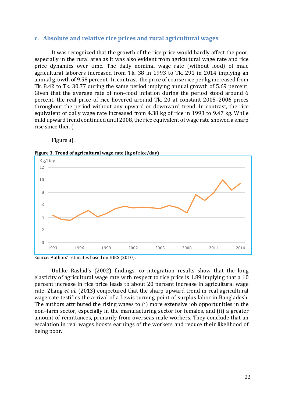#### <span id="page-30-0"></span>**c. Absolute and relative rice prices and rural agricultural wages**

It was recognized that the growth of the rice price would hardly affect the poor, especially in the rural area as it was also evident from agricultural wage rate and rice price dynamics over time. The daily nominal wage rate (without food) of male agricultural laborers increased from Tk. 38 in 1993 to Tk. 291 in 2014 implying an annual growth of 9.58 percent. In contrast, the price of coarse rice per kg increased from Tk. 8.42 to Tk. 30.77 during the same period implying annual growth of 5.69 percent. Given that the average rate of non–food inflation during the period stood around 6 percent, the real price of rice hovered around Tk. 20 at constant 2005–2006 prices throughout the period without any upward or downward trend. In contrast, the rice equivalent of daily wage rate increased from 4.38 kg of rice in 1993 to 9.47 kg. While mild upward tr[end continued until 2008, the rice equivalent of wage rate showed a sharp](#page-30-1)  [rise since then \(](#page-30-1)

<span id="page-30-1"></span>[Figure](#page-30-1) **3**).

**Figure 3. Trend of agricultural wage rate (kg of rice/day)**



Source: Authors' estimates based on HIES (2010).

Unlike Rashid's (2002) findings, co–integration results show that the long elasticity of agricultural wage rate with respect to rice price is 1.89 implying that a 10 percent increase in rice price leads to about 20 percent increase in agricultural wage rate. Zhang *et al.* (2013) conjectured that the sharp upward trend in real agricultural wage rate testifies the arrival of a Lewis turning point of surplus labor in Bangladesh. The authors attributed the rising wages to (i) more extensive job opportunities in the non–farm sector, especially in the manufacturing sector for females, and (ii) a greater amount of remittances, primarily from overseas male workers. They conclude that an escalation in real wages boosts earnings of the workers and reduce their likelihood of being poor.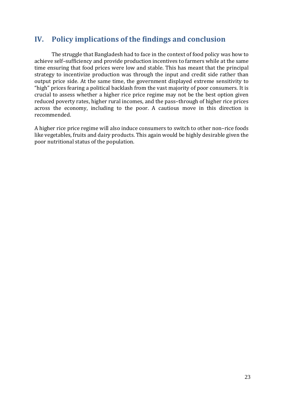# <span id="page-31-0"></span>**IV. Policy implications of the findings and conclusion**

The struggle that Bangladesh had to face in the context of food policy was how to achieve self–sufficiency and provide production incentives to farmers while at the same time ensuring that food prices were low and stable. This has meant that the principal strategy to incentivize production was through the input and credit side rather than output price side. At the same time, the government displayed extreme sensitivity to "high" prices fearing a political backlash from the vast majority of poor consumers. It is crucial to assess whether a higher rice price regime may not be the best option given reduced poverty rates, higher rural incomes, and the pass–through of higher rice prices across the economy, including to the poor. A cautious move in this direction is recommended.

A higher rice price regime will also induce consumers to switch to other non–rice foods like vegetables, fruits and dairy products. This again would be highly desirable given the poor nutritional status of the population.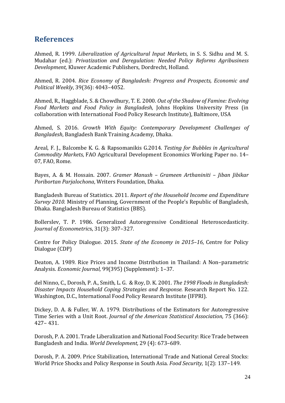# <span id="page-32-0"></span>**References**

Ahmed, R. 1999. *Liberalization of Agricultural Input Markets*, in S. S. Sidhu and M. S. Mudahar (ed.): *Privatization and Deregulation: Needed Policy Reforms Agribusiness Development*, Kluwer Academic Publishers, Dordrecht, Holland.

Ahmed, R. 2004. *Rice Economy of Bangladesh: Progress and Prospects, Economic and Political Weekly*, 39(36): 4043–4052.

Ahmed, R., Haggblade, S. & Chowdhury, T. E. 2000. *Out of the Shadow of Famine: Evolving Food Markets and Food Policy in Bangladesh*, Johns Hopkins University Press (in collaboration with International Food Policy Research Institute), Baltimore, USA

Ahmed, S. 2016. *Growth With Equity: Contemporary Development Challenges of Bangladesh*, Bangladesh Bank Training Academy, Dhaka.

Areal, F. J., Balcombe K. G. & Rapsomanikis G.2014. *Testing for Bubbles in Agricultural Commodity Markets*, FAO Agricultural Development Economics Working Paper no. 14– 07, FAO, Rome.

Bayes, A. & M. Hossain. 2007. *Gramer Manush – Grameen Arthaniniti – Jiban Jibikar Poribortan Parjalochona*, Writers Foundation, Dhaka.

Bangladesh Bureau of Statistics. 2011. *Report of the Household Income and Expenditure Survey 2010.* Ministry of Planning, Government of the People's Republic of Bangladesh, Dhaka. Bangladesh Bureau of Statistics (BBS).

Bollerslev, T. P. 1986. Generalized Autoregressive Conditional Heteroscedasticity. *Journal of Econometric*s, 31(3): 307–327.

Centre for Policy Dialogue. 2015. *State of the Economy in 2015–16*, Centre for Policy Dialogue (CDP)

Deaton, A. 1989. Rice Prices and Income Distribution in Thailand: A Non–parametric Analysis. *Economic Journal,* 99(395) (Supplement): 1–37.

del Ninno, C., Dorosh, P. A., Smith, L. G. & Roy, D. K. 2001. *The 1998 Floods in Bangladesh: Disaster Impacts Household Coping Strategies and Response.* Research Report No. 122. Washington, D.C., International Food Policy Research Institute (IFPRI).

Dickey, D. A. & Fuller, W. A. 1979. Distributions of the Estimators for Autoregressive Time Series with a Unit Root. *Journal of the American Statistical Association*, 75 (366): 427– 431.

Dorosh, P. A. 2001. Trade Liberalization and National Food Security: Rice Trade between Bangladesh and India. *World Development,* 29 (4): 673–689.

Dorosh, P. A. 2009. Price Stabilization, International Trade and National Cereal Stocks: World Price Shocks and Policy Response in South Asia. *Food Security,* 1(2): 137–149*.*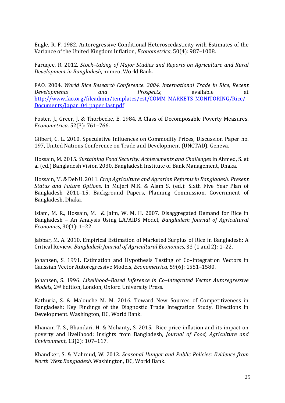Engle, R. F. 1982. Autoregressive Conditional Heteroscedasticity with Estimates of the Variance of the United Kingdom Inflation, *Econometrica*, 50(4): 987–1008.

Faruqee, R. 2012. *Stock–taking of Major Studies and Reports on Agriculture and Rural Development in Bangladesh*, mimeo, World Bank.

FAO. 2004. *World Rice Research Conference. 2004. International Trade in Rice, Recent Developments and Prospects*, available at [http://www.fao.org/fileadmin/templates/est/COMM\\_MARKETS\\_MONITORING/Rice/](http://www.fao.org/fileadmin/templates/est/COMM_MARKETS_MONITORING/Rice/Documents/Japan_04_paper_last.pdf) [Documents/Japan\\_04\\_paper\\_last.pdf](http://www.fao.org/fileadmin/templates/est/COMM_MARKETS_MONITORING/Rice/Documents/Japan_04_paper_last.pdf)

Foster, J., Greer, J. & Thorbecke, E. 1984. A Class of Decomposable Poverty Measures. *Econometrica,* 52(3): 761–766.

Gilbert, C. L. 2010. Speculative Influences on Commodity Prices, Discussion Paper no. 197, United Nations Conference on Trade and Development (UNCTAD), Geneva.

Hossain, M. 2015. *Sustaining Food Security: Achievements and Challenges* in Ahmed, S. et al (ed.) Bangladesh Vision 2030, Bangladesh Institute of Bank Management, Dhaka.

Hossain, M. & Deb U. 2011. *Crop Agriculture and Agrarian Reforms in Bangladesh: Present Status and Future Options*, in Mujeri M.K. & Alam S. (ed.): Sixth Five Year Plan of Bangladesh 2011–15, Background Papers, Planning Commission, Government of Bangladesh, Dhaka.

Islam, M. R., Hossain, M. & Jaim, W. M. H. 2007. Disaggregated Demand for Rice in Bangladesh – An Analysis Using LA/AIDS Model, *Bangladesh Journal of Agricultural Economics*, 30(1): 1–22.

Jabbar, M. A. 2010. Empirical Estimation of Marketed Surplus of Rice in Bangladesh: A Critical Review, *Bangladesh Journal of Agricultural Economics*, 33 (1 and 2): 1–22.

Johansen, S. 1991. Estimation and Hypothesis Testing of Co–integration Vectors in Gaussian Vector Autoregressive Models, *Econometrica*, 59(6): 1551–1580.

Johansen, S. 1996. *Likelihood–Based Inference in Co–integrated Vector Autoregressive Models*, 2nd Edition, London, Oxford University Press.

Kathuria, S. & Malouche M. M. 2016. Toward New Sources of Competitiveness in Bangladesh: Key Findings of the Diagnostic Trade Integration Study. Directions in Development. Washington, DC, World Bank.

Khanam T. S., Bhandari, H. & Mohanty, S. 2015. Rice price inflation and its impact on poverty and livelihood: Insights from Bangladesh, *Journal of Food, Agriculture and Environment*, 13(2): 107–117.

Khandker, S. & Mahmud, W. 2012. *Seasonal Hunger and Public Policies: Evidence from North West Bangladesh*. Washington, DC, World Bank.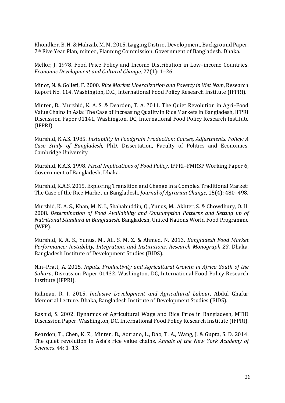Khondker, B. H. & Mahzab, M. M. 2015. Lagging District Development, Background Paper, 7th Five Year Plan, mimeo, Planning Commission, Government of Bangladesh. Dhaka.

Mellor, J. 1978. Food Price Policy and Income Distribution in Low–income Countries. *Economic Development and Cultural Change*, 27(1): 1–26.

Minot, N. & Golleti, F. 2000. *Rice Market Liberalization and Poverty in Viet Nam*, Research Report No. 114. Washington, D.C., International Food Policy Research Institute (IFPRI).

Minten, B., Murshid, K. A. S. & Dearden, T. A. 2011. The Quiet Revolution in Agri–Food Value Chains in Asia: The Case of Increasing Quality in Rice Markets in Bangladesh, IFPRI Discussion Paper 01141, Washington, DC, International Food Policy Research Institute (IFPRI).

Murshid, K.A.S. 1985. *Instability in Foodgrain Production: Causes, Adjustments, Policy: A Case Study of Bangladesh*, PhD. Dissertation, Faculty of Politics and Economics, Cambridge University

Murshid, K.A.S. 1998. *Fiscal Implications of Food Policy*, IFPRI–FMRSP Working Paper 6, Government of Bangladesh, Dhaka.

Murshid, K.A.S. 2015. Exploring Transition and Change in a Complex Traditional Market: The Case of the Rice Market in Bangladesh*, Journal of Agrarian Change*, 15(4): 480–498.

Murshid, K. A. S., Khan, M. N. I., Shahabuddin, Q., Yunus, M., Akhter, S. & Chowdhury, O. H. 2008. *Determination of Food Availability and Consumption Patterns and Setting up of Nutritional Standard in Bangladesh*. Bangladesh, United Nations World Food Programme (WFP).

Murshid, K. A. S., Yunus, M., Ali, S. M. Z. & Ahmed, N. 2013. *Bangladesh Food Market Performance: Instability, Integration, and Institutions*, *Research Monograph 23*. Dhaka, Bangladesh Institute of Development Studies (BIDS).

Nin–Pratt, A. 2015. *Inputs, Productivity and Agricultural Growth in Africa South of the Sahara*, Discussion Paper 01432. Washington, DC, International Food Policy Research Institute (IFPRI).

Rahman, R. I. 2015. *Inclusive Development and Agricultural Labour*, Abdul Ghafur Memorial Lecture. Dhaka, Bangladesh Institute of Development Studies (BIDS).

Rashid, S. 2002. Dynamics of Agricultural Wage and Rice Price in Bangladesh, MTID Discussion Paper. Washington, DC, International Food Policy Research Institute (IFPRI).

Reardon, T., Chen, K. Z., Minten, B., Adriano, L., Dao, T. A., Wang, J. & Gupta, S. D. 2014. The quiet revolution in Asia's rice value chains, *Annals of the New York Academy of Sciences*, 44: 1–13.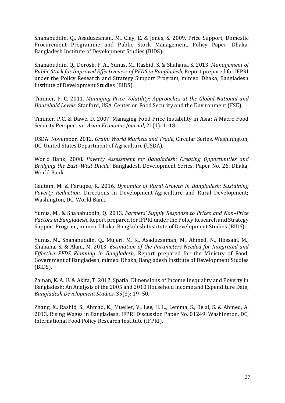Shahabuddin, Q., Asaduzzaman, M., Clay, E. & Jones, S. 2009. Price Support, Domestic Procurement Programme and Public Stock Management, Policy Paper. Dhaka, Bangladesh Institute of Development Studies (BIDS).

Shahabuddin, Q., Dorosh, P. A., Yunus, M., Rashid, S. & Shahana, S. 2013. *Management of Public Stock for Improved Effectiveness of PFDS in Bangladesh*, Report prepared for IFPRI under the Policy Research and Strategy Support Program, mimeo. Dhaka, Bangladesh Institute of Development Studies (BIDS).

Timmer, P. C. 2011. *Managing Price Volatility: Approaches at the Global National and Household Levels*. Stanford, USA. Center on Food Security and the Environment (FSE).

Timmer, P.C. & Dawe, D. 2007. Managing Food Price Instability in Asia: A Macro Food Security Perspective, *Asian Economic Journal*, 21(1): 1–18.

USDA. November, 2012. *Grain: World Markets and Trade*, Circular Series. Washinngton, DC, United States Department of Agriculture (USDA).

World Bank, 2008. *Poverty Assessment for Bangladesh: Creating Opportunities and Bridging the East–West Divide*, Bangladesh Development Series, Paper No. 26, Dhaka, World Bank.

Gautam, M. & Faruqee, R. 2016. *Dynamics of Rural Growth in Bangladesh: Sustaining Poverty Reduction.* Directions in Development-Agriculture and Rural Development; Washington, DC, World Bank.

Yunus, M., & Shahabuddin, Q. 2013. *Farmers' Supply Response to Prices and Non–Price Factors in Bangladesh*, Report prepared for IFPRI under the Policy Research and Strategy Support Program, mimeo. Dhaka, Bangladesh Institute of Development Studies (BIDS).

Yunus, M., Shahabuddin, Q., Mujeri, M. K., Asaduzzaman, M., Ahmed, N., Hossain, M., Shahana, S. & Alam, M. 2013. *Estimation of the Parameters Needed for Integrated and Effective PFDS Planning in Bangladesh*, Report prepared for the Ministry of Food, Government of Bangladesh, mimeo. Dhaka, Bangladesh Institute of Development Studies (BIDS).

Zaman, K. A. U. & Akita, T. 2012. Spatial Dimensions of Income Inequality and Poverty in Bangladesh: An Analysis of the 2005 and 2010 Household Income and Expenditure Data, *Bangladesh Development Studies*, 35(3): 19–50.

Zhang, X., Rashid, S., Ahmad, K., Mueller, V., Lee, H. L., Lemma, S., Belal, S. & Ahmed, A. 2013. Rising Wages in Bangladesh, IFPRI Discussion Paper No. 01249. Washington, DC, International Food Policy Research Institute (IFPRI).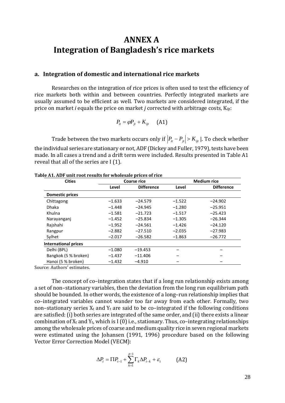# <span id="page-36-0"></span>**ANNEX A Integration of Bangladesh's rice markets**

#### <span id="page-36-1"></span>**a. Integration of domestic and international rice markets**

Researches on the integration of rice prices is often used to test the efficiency of rice markets both within and between countries. Perfectly integrated markets are usually assumed to be efficient as well. Two markets are considered integrated, if the price on market *i* equals the price on market *j* corrected with arbitrage costs, Kijt:

$$
P_{it} = \varphi P_{jt} + K_{ijt} \qquad \text{(A1)}
$$

Trade between the two markets occurs only if  $\left|P_{it} - P_{jt}\right| > K_{ijt}$  |. To check whether the individual series are stationary or not, ADF (Dickey and Fuller, 1979), tests have been made. In all cases a trend and a drift term were included. Results presented in Table A1 reveal that all of the series are I (1).

|          |                   | <b>Medium rice</b> |                   |  |
|----------|-------------------|--------------------|-------------------|--|
| Level    | <b>Difference</b> | Level              | <b>Difference</b> |  |
|          |                   |                    |                   |  |
| $-1.633$ | $-24.579$         | $-1.522$           | $-24.902$         |  |
| $-1.448$ | $-24.945$         | $-1.280$           | $-25.951$         |  |
| $-1.581$ | $-21.723$         | $-1.517$           | $-25.423$         |  |
| $-1.452$ | $-25.834$         | $-1.305$           | $-26.344$         |  |
| $-1.952$ | $-24.561$         | $-1.426$           | $-24.120$         |  |
| $-2.882$ | $-27.510$         | $-2.035$           | $-27.983$         |  |
| $-2.017$ | $-26.582$         | $-1.863$           | $-26.772$         |  |
|          |                   |                    |                   |  |
| $-1.080$ | $-19.453$         |                    |                   |  |
| $-1.437$ | $-11.406$         |                    |                   |  |
| $-1.432$ | $-4.910$          |                    |                   |  |
|          |                   | <b>Coarse rice</b> |                   |  |

#### **Table A1. ADF unit root results for wholesale prices of rice**

Source: Authors' estimates.

The concept of co–integration states that if a long run relationship exists among a set of non–stationary variables, then the deviation from the long run equilibrium path should be bounded. In other words, the existence of a long–run relationship implies that co–integrated variables cannot wander too far away from each other. Formally, two non–stationary series  $X_t$  and  $Y_t$  are said to be co–integrated if the following conditions are satisfied: (i) both series are integrated of the same order, and (ii) there exists a linear combination of  $X_t$  and  $Y_t$ , which is I (0) i.e., stationary. Thus, co-integrating relationships among the wholesale prices of coarse and medium quality rice in seven regional markets were estimated using the Johansen (1991, 1996) procedure based on the following Vector Error Correction Model (VECM):

$$
\Delta P_t = \Pi P_{t-1} + \sum_{k=1}^{p-1} \Gamma_k \Delta P_{t-k} + \varepsilon_t \tag{A2}
$$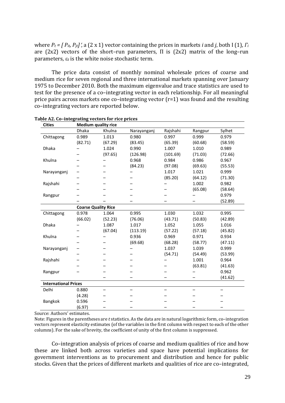where *Pt = [ Pit, Pjt]*′, a (2 x 1) vector containing the prices in markets *i* and *j*, both I (1), *Γ<sup>i</sup>* are (2x2) vectors of the short-run parameters,  $\Pi$  is (2x2) matrix of the long-run parameters, ε*<sup>t</sup>* is the white noise stochastic term.

The price data consist of monthly nominal wholesale prices of coarse and medium rice for seven regional and three international markets spanning over January 1975 to December 2010. Both the maximum eigenvalue and trace statistics are used to test for the presence of a co–integrating vector in each relationship. For all meaningful price pairs across markets one co–integrating vector (r=1) was found and the resulting co–integrating vectors are reported below.

| <b>Cities</b>               |                            | <b>Medium quality rice</b> |                          |          |         |         |
|-----------------------------|----------------------------|----------------------------|--------------------------|----------|---------|---------|
|                             | Dhaka                      | Khulna                     | Narayanganj              | Rajshahi | Rangpur | Sylhet  |
| Chittagong                  | 0.989                      | 1.013                      | 0.980                    | 0.997    | 0.999   | 0.979   |
|                             | (82.71)                    | (67.29)                    | (83.45)                  | (65.39)  | (60.68) | (58.59) |
| <b>Dhaka</b>                |                            | 1.024                      | 0.990                    | 1.007    | 1.010   | 0.989   |
|                             |                            | (97.65)                    | (126.98)                 | (101.69) | (71.03) | (72.66) |
| Khulna                      |                            |                            | 0.968                    | 0.984    | 0.986   | 0.967   |
|                             |                            |                            | (84.23)                  | (97.08)  | (69.63) | (55.53) |
| Narayanganj                 |                            |                            |                          | 1.017    | 1.021   | 0.999   |
|                             |                            |                            |                          | (85.20)  | (64.12) | (71.30) |
| Rajshahi                    |                            |                            |                          |          | 1.002   | 0.982   |
|                             |                            |                            |                          |          | (65.08) | (58.64) |
| Rangpur                     |                            |                            |                          |          |         | 0.979   |
|                             |                            |                            |                          |          |         | (52.89) |
|                             | <b>Coarse Quality Rice</b> |                            |                          |          |         |         |
| Chittagong                  | 0.978                      | 1.064                      | 0.995                    | 1.030    | 1.032   | 0.995   |
|                             | (66.02)                    | (52.23)                    | (76.06)                  | (43.71)  | (50.83) | (42.89) |
| Dhaka                       |                            | 1.087                      | 1.017                    | 1.052    | 1.055   | 1.016   |
|                             |                            | (67.04)                    | (113.19)                 | (57.22)  | (57.18) | (45.82) |
| Khulna                      |                            |                            | 0.936                    | 0.969    | 0.971   | 0.934   |
|                             |                            |                            | (69.68)                  | (68.28)  | (58.77) | (47.11) |
| Narayanganj                 |                            |                            |                          | 1.037    | 1.039   | 0.999   |
|                             |                            |                            |                          | (54.71)  | (54.49) | (53.99) |
| Rajshahi                    |                            |                            |                          |          | 1.001   | 0.964   |
|                             |                            |                            |                          |          | (63.81) | (41.63) |
| Rangpur                     |                            |                            |                          |          |         | 0.962   |
|                             |                            |                            |                          |          |         | (41.62) |
| <b>International Prices</b> |                            |                            |                          |          |         |         |
| Delhi                       | 0.880                      |                            | $\overline{\phantom{0}}$ |          |         |         |
|                             | (4.28)                     |                            |                          |          |         |         |
| Bangkok                     | 0.596                      |                            |                          |          |         |         |
|                             | (6.97)                     |                            |                          |          |         |         |

**Table A2. Co–integrating vectors for rice prices**

Source: Authors' estimates.

Note: Figures in the parentheses are *t* statistics. As the data are in natural logarithmic form, co–integration vectors represent elasticity estimates (of the variables in the first column with respect to each of the other columns). For the sake of brevity, the coefficient of unity of the first column is suppressed.

Co–integration analysis of prices of coarse and medium qualities of rice and how these are linked both across varieties and space have potential implications for government interventions as to procurement and distribution and hence for public stocks. Given that the prices of different markets and qualities of rice are co–integrated,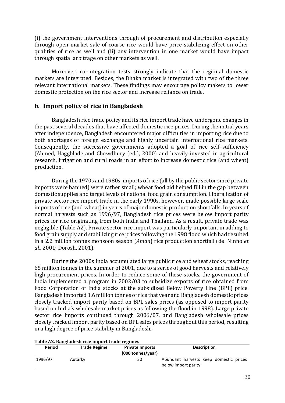(i) the government interventions through of procurement and distribution especially through open market sale of coarse rice would have price stabilizing effect on other qualities of rice as well and (ii) any intervention in one market would have impact through spatial arbitrage on other markets as well.

Moreover, co–integration tests strongly indicate that the regional domestic markets are integrated. Besides, the Dhaka market is integrated with two of the three relevant international markets. These findings may encourage policy makers to lower domestic protection on the rice sector and increase reliance on trade.

### <span id="page-38-0"></span>**b. Import policy of rice in Bangladesh**

Bangladesh rice trade policy and its rice import trade have undergone changes in the past several decades that have affected domestic rice prices. During the initial years after independence, Bangladesh encountered major difficulties in importing rice due to both shortages of foreign exchange and highly uncertain international rice markets. Consequently, the successive governments adopted a goal of rice self–sufficiency (Ahmed, Haggblade and Chowdhury (ed.), 2000) and heavily invested in agricultural research, irrigation and rural roads in an effort to increase domestic rice (and wheat) production.

During the 1970s and 1980s, imports of rice (all by the public sector since private imports were banned) were rather small; wheat food aid helped fill in the gap between domestic supplies and target levels of national food grain consumption. Liberalization of private sector rice import trade in the early 1990s, however, made possible large scale imports of rice (and wheat) in years of major domestic production shortfalls. In years of normal harvests such as 1996/97, Bangladesh rice prices were below import parity prices for rice originating from both India and Thailand. As a result, private trade was negligible (Table A2). Private sector rice import was particularly important in adding to food grain supply and stabilizing rice prices following the 1998 flood which had resulted in a 2.2 million tonnes monsoon season (*Aman*) rice production shortfall (del Ninno *et al.*, 2001; Dorosh, 2001).

During the 2000s India accumulated large public rice and wheat stocks, reaching 65 million tonnes in the summer of 2001, due to a series of good harvests and relatively high procurement prices. In order to reduce some of these stocks, the government of India implemented a program in 2002/03 to subsidize exports of rice obtained from Food Corporation of India stocks at the subsidized Below Poverty Line (BPL) price. Bangladesh imported 1.6 million tonnes of rice that year and Bangladesh domestic prices closely tracked import parity based on BPL sales prices (as opposed to import parity based on India's wholesale market prices as following the flood in 1998). Large private sector rice imports continued through 2006/07, and Bangladesh wholesale prices closely tracked import parity based on BPL sales prices throughout this period, resulting in a high degree of price stability in Bangladesh.

| Period  | 1 aprel 112, Bangraucon 1100 milport eruuc regimeb<br><b>Trade Regime</b> | <b>Private Imports</b><br>(000 tonnes/year) | <b>Description</b>                     |
|---------|---------------------------------------------------------------------------|---------------------------------------------|----------------------------------------|
| 1996/97 | Autarky                                                                   | 30                                          | Abundant harvests keep domestic prices |
|         |                                                                           |                                             | below import parity                    |

#### **Table A2. Bangladesh rice import trade regimes**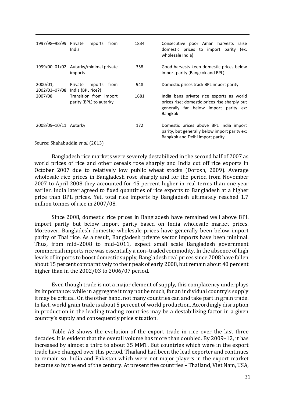|                           | 1997/98-98/99 Private imports<br>from<br>India    | 1834 | Consecutive poor Aman harvests raise<br>domestic prices to import parity (ex:<br>wholesale India)                                                    |
|---------------------------|---------------------------------------------------|------|------------------------------------------------------------------------------------------------------------------------------------------------------|
|                           | 1999/00–01/02 Autarky/minimal private<br>imports  | 358  | Good harvests keep domestic prices below<br>import parity (Bangkok and BPL)                                                                          |
| 2000/01,<br>2002/03-07/08 | Private imports<br>from<br>India (BPL rice?)      | 948  | Domestic prices track BPL import parity                                                                                                              |
| 2007/08                   | Transition from import<br>parity (BPL) to autarky | 1681 | India bans private rice exports as world<br>prices rise; domestic prices rise sharply but<br>generally far below import parity ex:<br><b>Bangkok</b> |
| 2008/09-10/11 Autarky     |                                                   | 172  | Domestic prices above BPL India import<br>parity, but generally below import parity ex:<br>Bangkok and Delhi import parity.                          |

Source: Shahabuddin *et al.* (2013).

Bangladesh rice markets were severely destabilized in the second half of 2007 as world prices of rice and other cereals rose sharply and India cut off rice exports in October 2007 due to relatively low public wheat stocks (Dorosh, 2009). Average wholesale rice prices in Bangladesh rose sharply and for the period from November 2007 to April 2008 they accounted for 45 percent higher in real terms than one year earlier. India later agreed to fixed quantities of rice exports to Bangladesh at a higher price than BPL prices. Yet, total rice imports by Bangladesh ultimately reached 1.7 million tonnes of rice in 2007/08.

Since 2008, domestic rice prices in Bangladesh have remained well above BPL import parity but below import parity based on India wholesale market prices. Moreover, Bangladesh domestic wholesale prices have generally been below import parity of Thai rice. As a result, Bangladesh private sector imports have been minimal. Thus, from mid–2008 to mid–2011, expect small scale Bangladesh government commercial imports rice was essentially a non–traded commodity. In the absence of high levels of imports to boost domestic supply, Bangladesh real prices since 2008 have fallen about 15 percent comparatively to their peak of early 2008, but remain about 40 percent higher than in the 2002/03 to 2006/07 period.

Even though trade is not a major element of supply, this complacency underplays its importance: while in aggregate it may not be much, for an individual country's supply it may be critical. On the other hand, not many countries can and take part in grain trade. In fact, world grain trade is about 5 percent of world production. Accordingly disruption in production in the leading trading countries may be a destabilizing factor in a given country's supply and consequently price situation.

Table A3 shows the evolution of the export trade in rice over the last three decades. It is evident that the overall volume has more than doubled. By 2009–12, it has increased by almost a third to about 35 MMT. But countries which were in the export trade have changed over this period. Thailand had been the lead exporter and continues to remain so. India and Pakistan which were not major players in the export market became so by the end of the century. At present five countries – Thailand, Viet Nam, USA,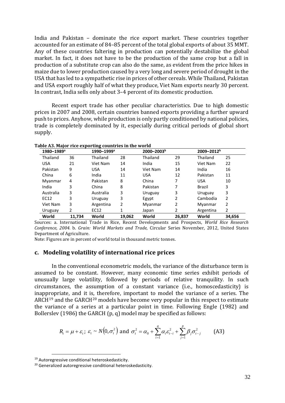India and Pakistan – dominate the rice export market. These countries together accounted for an estimate of 84–85 percent of the total global exports of about 35 MMT. Any of these countries faltering in production can potentially destabilize the global market. In fact, it does not have to be the production of the same crop but a fall in production of a substitute crop can also do the same, as evident from the price hikes in maize due to lower production caused by a very long and severe period of drought in the USA that has led to a sympathetic rise in prices of other cereals. While Thailand, Pakistan and USA export roughly half of what they produce, Viet Nam exports nearly 30 percent. In contrast, India sells only about 3–4 percent of its domestic production.

Recent export trade has other peculiar characteristics. Due to high domestic prices in 2007 and 2008, certain countries banned exports providing a further upward push to prices. Anyhow, while production is only partly conditioned by national policies, trade is completely dominated by it, especially during critical periods of global short supply.

| 1980-1989 <sup>a</sup> |        | 1990-1999 <sup>a</sup> |        | $2000 - 2003b$ |        | $2009 - 2012^b$ |        |  |
|------------------------|--------|------------------------|--------|----------------|--------|-----------------|--------|--|
| Thailand               | 36     | Thailand               | 28     | Thailand       | 29     | Thailand        | 25     |  |
| <b>USA</b>             | 21     | Viet Nam               | 14     | India          | 15     | Viet Nam        | 22     |  |
| Pakistan               | 9      | <b>USA</b>             | 14     | Viet Nam       | 14     | India           | 16     |  |
| China                  | 6      | India                  | 11     | <b>USA</b>     | 12     | Pakistan        | 11     |  |
| Myanmar                | 4      | Pakistan               | 8      | China          | 7      | <b>USA</b>      | 10     |  |
| India                  | 3      | China                  | 8      | Pakistan       | 7      | Brazil          | 3      |  |
| Australia              | 3      | Australia              | 3      | Uruguay        | 3      | Uruguay         | 3      |  |
| EC12                   | 3      | Uruguay                | 3      | Egypt          | 2      | Cambodia        | 2      |  |
| Viet Nam               | 3      | Argentina              | 2      | Myanmar        | 2      | Myanmar         | 2      |  |
| Uruguay                | 2      | EC12                   | 1      | Japan          | 2      | Argentina       | 2      |  |
| World                  | 11,734 | World                  | 19,062 | World          | 26,837 | World           | 34,656 |  |

**Table A3. Major rice exporting countries in the world**

Sources: a. International Trade in Rice, Recent Developments and Prospects, *World Rice Research Conference, 2004.* b. *Grain: World Markets and Trade*, Circular Series November, 2012, United States Department of Agriculture.

Note: Figures are in percent of world total in thousand metric tonnes.

#### <span id="page-40-0"></span>**c. Modeling volatility of international rice prices**

In the conventional econometric models, the variance of the disturbance term is assumed to be constant. However, many economic time series exhibit periods of unusually large volatility, followed by periods of relative tranquility. In such circumstances, the assumption of a constant variance (i.e., homoscedasticity) is inappropriate, and it is, therefore, important to model the variance of a series. The ARCH<sup>[19](#page-40-1)</sup> and the GARCH<sup>[20](#page-40-2)</sup> models have become very popular in this respect to estimate the variance of a series at a particular point in time. Following Engle (1982) and Bollerslev (1986) the GARCH (p, q) model may be specified as follows:

$$
R_t = \mu + \varepsilon_t; \ \varepsilon_t \sim N(0, \sigma_t^2) \text{ and } \sigma_t^2 = \alpha_0 + \sum_{i=1}^q \alpha_i \varepsilon_{t-i}^2 + \sum_{j=1}^p \beta_j \sigma_{t-j}^2 \tag{A3}
$$

<span id="page-40-1"></span><sup>19</sup> Autoregressive conditional heteroskedasticity.

<span id="page-40-2"></span><sup>&</sup>lt;sup>20</sup> Generalized autoregressive conditional heteroskedasticity.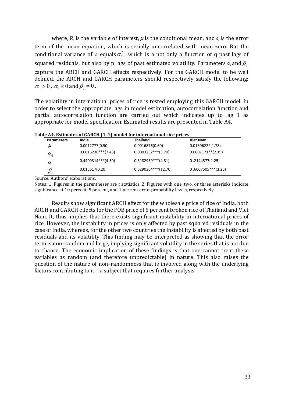where,  $R_{\iota}$  is the variable of interest,  $\mu$  is the conditional mean, and  $\varepsilon_{\iota}$  is the error term of the mean equation, which is serially uncorrelated with mean zero. But the conditional variance of  $\varepsilon$ , equals  $\sigma_t^2$ , which is a not only a function of q past lags of squared residuals, but also by p lags of past estimated volatility. Parameters $\alpha_{\scriptscriptstyle i}$  and  $\beta_{\scriptscriptstyle j}$ capture the ARCH and GARCH effects respectively. For the GARCH model to be well defined, the ARCH and GARCH parameters should respectively satisfy the following:  $\alpha_0 > 0$ ,  $\alpha_i \ge 0$  and  $\beta_j \ne 0$ .

The volatility in international prices of rice is tested employing this GARCH model. In order to select the appropriate lags in model estimation, autocorrelation function and partial autocorrelation function are carried out which indicates up to lag 1 as appropriate for model specification. Estimated results are presented in Table A4.

| Table A4. Estimates of GARCH (1, 1) model for international rice prices |  |
|-------------------------------------------------------------------------|--|
|-------------------------------------------------------------------------|--|

| <b>Parameters</b>                  | India                 | <b>Thailand</b>        | Viet Nam              |
|------------------------------------|-----------------------|------------------------|-----------------------|
| $\mu$                              | 0.0012777(0.50)       | 0.0016876(0.60)        | $0.0130622*(1.78)$    |
| $\alpha_{\scriptscriptstyle 0}^{}$ | $0.0016236***$ (7.43) | $0.0003252***$ (3.70)  | $0.0007171**$ (2.19)  |
| $\alpha_{\text{t}}$                | $0.4409314***$ (4.50) | $0.3182959***$ (4.81)  | 0.2144577(1.25)       |
|                                    | 0.015617(0.20)        | $0.6290364***$ (12.70) | $0.6007505***$ (3.25) |

Source: Authors' elaborations.

Notes: 1. Figures in the parentheses are *t* statistics. 2. Figures with one, two, or three asterisks indicate significance at 10 percent, 5 percent, and 1 percent error probability levels, respectively.

Results show significant ARCH effect for the wholesale price of rice of India, both ARCH and GARCH effects for the FOB price of 5 percent broken rice of Thailand and Viet Nam. It, thus, implies that there exists significant instability in international prices of rice. However, the instability in prices is only affected by past squared residuals in the case of India, whereas, for the other two countries the instability is affected by both past residuals and its volatility. This finding may be interpreted as showing that the error term is non–random and large, implying significant volatility in the series that is not due to chance. The economic implication of these findings is that one cannot treat these variables as random (and therefore unpredictable) in nature. This also raises the question of the nature of non–randomness that is involved along with the underlying factors contributing to it – a subject that requires further analysis.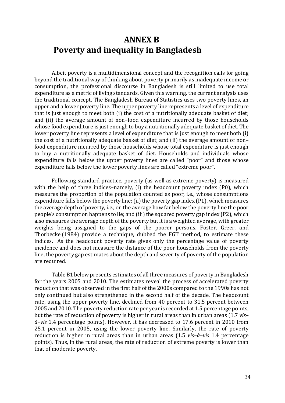# <span id="page-42-0"></span>**ANNEX B Poverty and inequality in Bangladesh**

Albeit poverty is a multidimensional concept and the recognition calls for going beyond the traditional way of thinking about poverty primarily as inadequate income or consumption, the professional discourse in Bangladesh is still limited to use total expenditure as a metric of living standards. Given this warning, the current analysis uses the traditional concept. The Bangladesh Bureau of Statistics uses two poverty lines, an upper and a lower poverty line. The upper poverty line represents a level of expenditure that is just enough to meet both (i) the cost of a nutritionally adequate basket of diet; and (ii) the average amount of non–food expenditure incurred by those households whose food expenditure is just enough to buy a nutritionally adequate basket of diet. The lower poverty line represents a level of expenditure that is just enough to meet both (i) the cost of a nutritionally adequate basket of diet; and (ii) the average amount of non– food expenditure incurred by those households whose total expenditure is just enough to buy a nutritionally adequate basket of diet. Households and individuals whose expenditure falls below the upper poverty lines are called "poor" and those whose expenditure falls below the lower poverty lines are called "extreme poor".

Following standard practice, poverty (as well as extreme poverty) is measured with the help of three indices–namely, (i) the headcount poverty index (P0), which measures the proportion of the population counted as poor, i.e., whose consumptions expenditure falls below the poverty line; (ii) the poverty gap index (P1), which measures the average depth of poverty, i.e., on the average how far below the poverty line the poor people's consumption happens to lie; and (iii) the squared poverty gap index (P2), which also measures the average depth of the poverty but it is a weighted average, with greater weights being assigned to the gaps of the poorer persons. Foster, Greer, and Thorbecke (1984) provide a technique, dubbed the FGT method, to estimate these indices. As the headcount poverty rate gives only the percentage value of poverty incidence and does not measure the distance of the poor households from the poverty line, the poverty gap estimates about the depth and severity of poverty of the population are required.

Table B1 below presents estimates of all three measures of poverty in Bangladesh for the years 2005 and 2010. The estimates reveal the process of accelerated poverty reduction that was observed in the first half of the 2000s compared to the 1990s has not only continued but also strengthened in the second half of the decade. The headcount rate, using the upper poverty line, declined from 40 percent to 31.5 percent between 2005 and 2010. The poverty reduction rate per year is recorded at 1.5 percentage points, but the rate of reduction of poverty is higher in rural areas than in urban areas (1.7 *vis– à–vis* 1.4 percentage points). However, it has decreased to 17.6 percent in 2010 from 25.1 percent in 2005, using the lower poverty line. Similarly, the rate of poverty reduction is higher in rural areas than in urban areas (1.5 *vis–à–vis* 1.4 percentage points). Thus, in the rural areas, the rate of reduction of extreme poverty is lower than that of moderate poverty.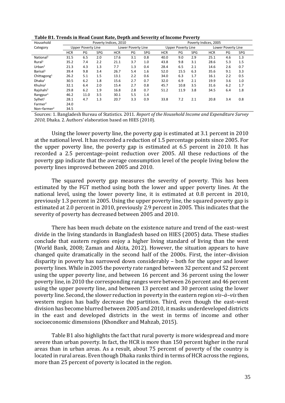| Table B1. Trends in Head Count Rate, Depth and Severity of Income Poverty |
|---------------------------------------------------------------------------|
|---------------------------------------------------------------------------|

| Household               | Poverty Indices, 2010     |      |            |                    |     |                    | Poverty Indices, 2005 |      |                    |            |     |            |
|-------------------------|---------------------------|------|------------|--------------------|-----|--------------------|-----------------------|------|--------------------|------------|-----|------------|
| Category                | <b>Upper Poverty Line</b> |      |            | Lower Poverty Line |     | Upper Poverty Line |                       |      | Lower Poverty Line |            |     |            |
|                         | <b>HCR</b>                | PG   | <b>SPG</b> | <b>HCR</b>         | PG  | <b>SPG</b>         | <b>HCR</b>            | PG   | <b>SPG</b>         | <b>HCR</b> | PG  | <b>SPG</b> |
| National <sup>1</sup>   | 31.5                      | 6.5  | 2.0        | 17.6               | 3.1 | 0.8                | 40.0                  | 9.0  | 2.9                | 25.1       | 4.6 | 1.3        |
| Rural <sup>1</sup>      | 35.2                      | 7.4  | 2.2        | 21.1               | 3.7 | 1.0                | 43.8                  | 9.8  | 3.1                | 28.6       | 5.3 | 1.5        |
| Urban <sup>1</sup>      | 21.3                      | 4.3  | 1.3        | 7.7                | 1.3 | 0.4                | 28.4                  | 6.5  | 2.1                | 14.6       | 2.6 | 0.7        |
| Barisal <sup>1</sup>    | 39.4                      | 9.8  | 3.4        | 26.7               | 5.4 | 1.6                | 52.0                  | 15.5 | 6.3                | 35.6       | 9.1 | 3.3        |
| Chittagong <sup>1</sup> | 26.2                      | 5.1  | 1.5        | 13.1               | 2.2 | 0.6                | 34.0                  | 6.3  | 1.7                | 16.1       | 2.2 | 0.5        |
| Dhaka <sup>1</sup>      | 30.5                      | 6.2  | 1.8        | 15.6               | 2.7 | 0.7                | 32.0                  | 6.9  | 2.1                | 19.9       | 3.6 | 1.0        |
| Khulna <sup>1</sup>     | 32.1                      | 6.4  | 2.0        | 15.4               | 2.7 | 0.8                | 45.7                  | 10.8 | 3.5                | 31.6       | 6.2 | 1.7        |
| Rajshahi <sup>1</sup>   | 29.8                      | 6.2  | 1.9        | 16.8               | 2.8 | 0.7                | 51.2                  | 11.9 | 3.8                | 34.5       | 6.4 | 1.8        |
| $R$ angpur <sup>1</sup> | 46.2                      | 11.0 | 3.5        | 30.1               | 5.5 | 1.4                |                       |      |                    |            |     |            |
| Sylhet <sup>1</sup>     | 28.1                      | 4.7  | 1.3        | 20.7               | 3.3 | 0.9                | 33.8                  | 7.2  | 2.1                | 20.8       | 3.4 | 0.8        |
| Farmer <sup>2</sup>     | 24.0                      |      |            |                    |     |                    |                       |      |                    |            |     |            |
| Non-farmer <sup>2</sup> | 34.5                      |      |            |                    |     |                    |                       |      |                    |            |     |            |

Sources: 1. Bangladesh Bureau of Statistics. 2011. *Report of the Household Income and Expenditure Survey 2010*, Dhaka. 2. Authors' elaboration based on HIES (2010).

Using the lower poverty line, the poverty gap is estimated at 3.1 percent in 2010 at the national level. It has recorded a reduction of 1.5 percentage points since 2005. For the upper poverty line, the poverty gap is estimated at 6.5 percent in 2010. It has recorded a 2.5 percentage–point reduction over 2005. All these reductions of the poverty gap indicate that the average consumption level of the people living below the poverty lines improved between 2005 and 2010.

The squared poverty gap measures the severity of poverty. This has been estimated by the FGT method using both the lower and upper poverty lines. At the national level, using the lower poverty line, it is estimated at 0.8 percent in 2010, previously 1.3 percent in 2005. Using the upper poverty line, the squared poverty gap is estimated at 2.0 percent in 2010, previously 2.9 percent in 2005. This indicates that the severity of poverty has decreased between 2005 and 2010.

There has been much debate on the existence nature and trend of the east–west divide in the living standards in Bangladesh based on HIES (2005) data. These studies conclude that eastern regions enjoy a higher living standard of living than the west (World Bank, 2008; Zaman and Akita, 2012). However, the situation appears to have changed quite dramatically in the second half of the 2000s. First, the inter–division disparity in poverty has narrowed down considerably – both for the upper and lower poverty lines. While in 2005 the poverty rate ranged between 32 percent and 52 percent using the upper poverty line, and between 16 percent and 36 percent using the lower poverty line, in 2010 the corresponding ranges were between 26 percent and 46 percent using the upper poverty line, and between 13 percent and 30 percent using the lower poverty line. Second, the slower reduction in poverty in the eastern region *vis–à–vis*then western region has badly decrease the partition. Third, even though the east–west division has become blurred between 2005 and 2010, it masks underdeveloped districts in the east and developed districts in the west in terms of income and other socioeconomic dimensions (Khondker and Mahzab, 2015).

Table B1 also highlights the fact that rural poverty is more widespread and more severe than urban poverty. In fact, the HCR is more than 150 percent higher in the rural areas than in urban areas. As a result, about 75 percent of poverty of the country is located in rural areas. Even though Dhaka ranks third in terms of HCR across the regions, more than 25 percent of poverty is located in the region.